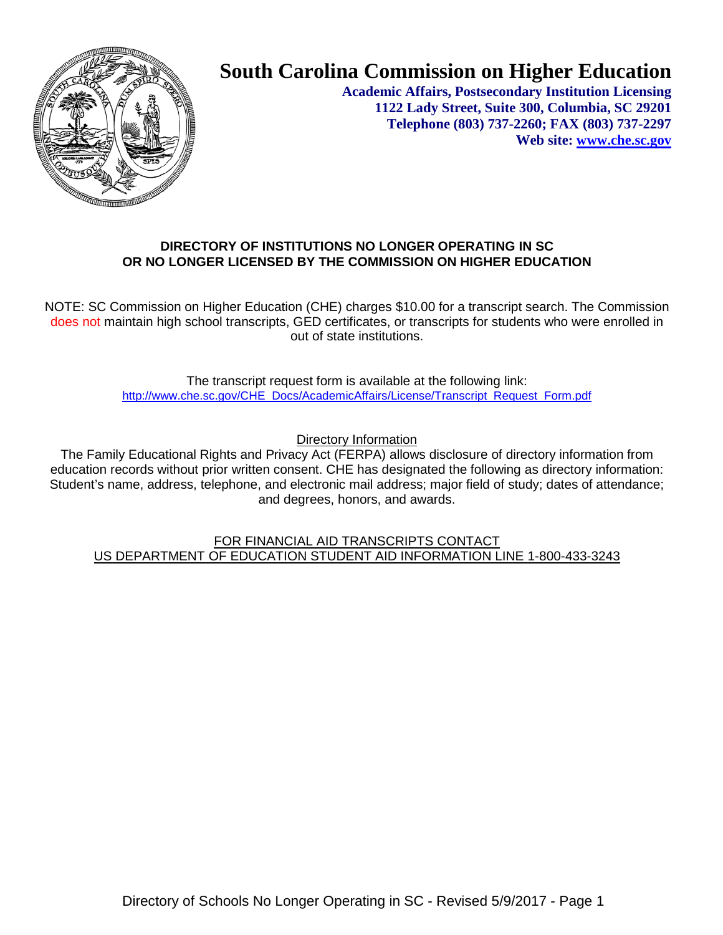

# **South Carolina Commission on Higher Education**

**Academic Affairs, Postsecondary Institution Licensing 1122 Lady Street, Suite 300, Columbia, SC 29201 Telephone (803) 737-2260; FAX (803) 737-2297 Web site: [www.che.sc.gov](http://www.che.sc.gov/)**

## **DIRECTORY OF INSTITUTIONS NO LONGER OPERATING IN SC OR NO LONGER LICENSED BY THE COMMISSION ON HIGHER EDUCATION**

NOTE: SC Commission on Higher Education (CHE) charges \$10.00 for a transcript search. The Commission does not maintain high school transcripts, GED certificates, or transcripts for students who were enrolled in out of state institutions.

> The transcript request form is available at the following link: [http://www.che.sc.gov/CHE\\_Docs/AcademicAffairs/License/Transcript\\_Request\\_Form.pdf](http://www.che.sc.gov/CHE_Docs/AcademicAffairs/License/Transcript_Request_Form.pdf)

> > Directory Information

The Family Educational Rights and Privacy Act (FERPA) allows disclosure of directory information from education records without prior written consent. CHE has designated the following as directory information: Student's name, address, telephone, and electronic mail address; major field of study; dates of attendance; and degrees, honors, and awards.

FOR FINANCIAL AID TRANSCRIPTS CONTACT US DEPARTMENT OF EDUCATION STUDENT AID INFORMATION LINE 1-800-433-3243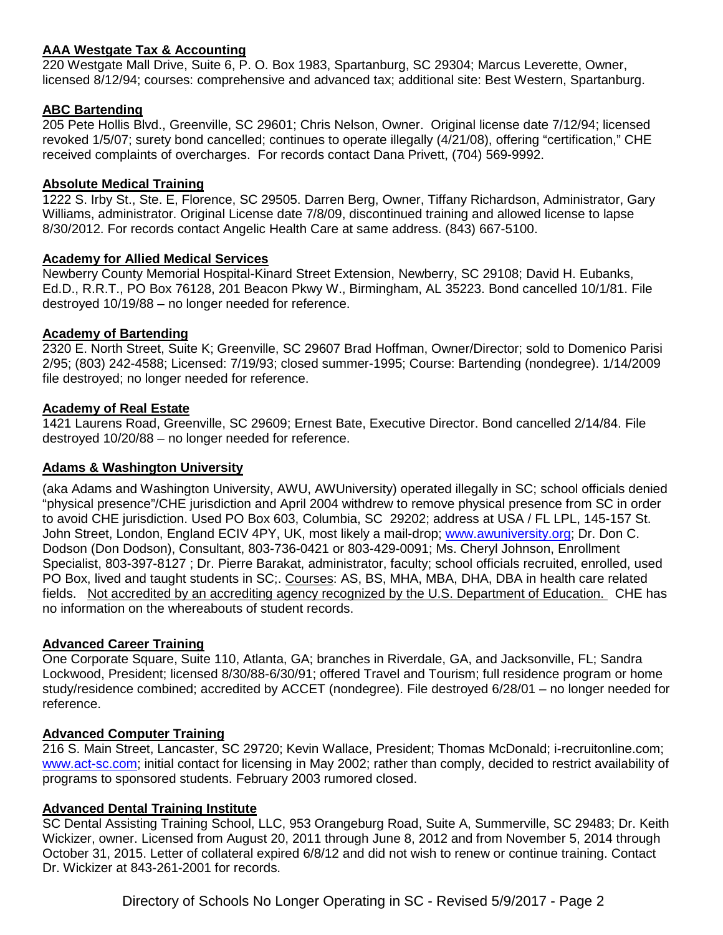## **AAA Westgate Tax & Accounting**

220 Westgate Mall Drive, Suite 6, P. O. Box 1983, Spartanburg, SC 29304; Marcus Leverette, Owner, licensed 8/12/94; courses: comprehensive and advanced tax; additional site: Best Western, Spartanburg.

## **ABC Bartending**

205 Pete Hollis Blvd., Greenville, SC 29601; Chris Nelson, Owner. Original license date 7/12/94; licensed revoked 1/5/07; surety bond cancelled; continues to operate illegally (4/21/08), offering "certification," CHE received complaints of overcharges. For records contact Dana Privett, (704) 569-9992.

## **Absolute Medical Training**

1222 S. Irby St., Ste. E, Florence, SC 29505. Darren Berg, Owner, Tiffany Richardson, Administrator, Gary Williams, administrator. Original License date 7/8/09, discontinued training and allowed license to lapse 8/30/2012. For records contact Angelic Health Care at same address. (843) 667-5100.

### **Academy for Allied Medical Services**

Newberry County Memorial Hospital-Kinard Street Extension, Newberry, SC 29108; David H. Eubanks, Ed.D., R.R.T., PO Box 76128, 201 Beacon Pkwy W., Birmingham, AL 35223. Bond cancelled 10/1/81. File destroyed 10/19/88 – no longer needed for reference.

### **Academy of Bartending**

2320 E. North Street, Suite K; Greenville, SC 29607 Brad Hoffman, Owner/Director; sold to Domenico Parisi 2/95; (803) 242-4588; Licensed: 7/19/93; closed summer-1995; Course: Bartending (nondegree). 1/14/2009 file destroyed; no longer needed for reference.

### **Academy of Real Estate**

1421 Laurens Road, Greenville, SC 29609; Ernest Bate, Executive Director. Bond cancelled 2/14/84. File destroyed 10/20/88 – no longer needed for reference.

#### **Adams & Washington University**

(aka Adams and Washington University, AWU, AWUniversity) operated illegally in SC; school officials denied "physical presence"/CHE jurisdiction and April 2004 withdrew to remove physical presence from SC in order to avoid CHE jurisdiction. Used PO Box 603, Columbia, SC 29202; address at USA / FL LPL, 145-157 St. John Street, London, England ECIV 4PY, UK, most likely a mail-drop; [www.awuniversity.org;](http://www.awuniversity.org/) Dr. Don C. Dodson (Don Dodson), Consultant, 803-736-0421 or 803-429-0091; Ms. Cheryl Johnson, Enrollment Specialist, 803-397-8127 ; Dr. Pierre Barakat, administrator, faculty; school officials recruited, enrolled, used PO Box, lived and taught students in SC;. Courses: AS, BS, MHA, MBA, DHA, DBA in health care related fields. Not accredited by an accrediting agency recognized by the U.S. Department of Education. CHE has no information on the whereabouts of student records.

#### **Advanced Career Training**

One Corporate Square, Suite 110, Atlanta, GA; branches in Riverdale, GA, and Jacksonville, FL; Sandra Lockwood, President; licensed 8/30/88-6/30/91; offered Travel and Tourism; full residence program or home study/residence combined; accredited by ACCET (nondegree). File destroyed 6/28/01 – no longer needed for reference.

## **Advanced Computer Training**

216 S. Main Street, Lancaster, SC 29720; Kevin Wallace, President; Thomas McDonald; i-recruitonline.com; [www.act-sc.com;](http://www.act-sc.com/) initial contact for licensing in May 2002; rather than comply, decided to restrict availability of programs to sponsored students. February 2003 rumored closed.

#### **Advanced Dental Training Institute**

SC Dental Assisting Training School, LLC, 953 Orangeburg Road, Suite A, Summerville, SC 29483; Dr. Keith Wickizer, owner. Licensed from August 20, 2011 through June 8, 2012 and from November 5, 2014 through October 31, 2015. Letter of collateral expired 6/8/12 and did not wish to renew or continue training. Contact Dr. Wickizer at 843-261-2001 for records.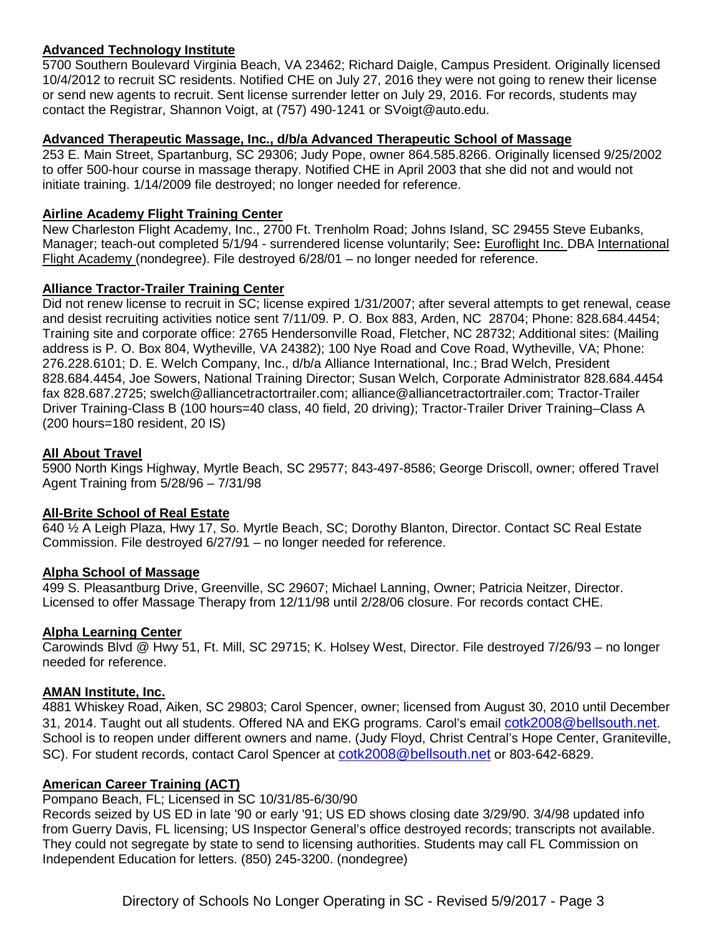## **Advanced Technology Institute**

5700 Southern Boulevard Virginia Beach, VA 23462; Richard Daigle, Campus President. Originally licensed 10/4/2012 to recruit SC residents. Notified CHE on July 27, 2016 they were not going to renew their license or send new agents to recruit. Sent license surrender letter on July 29, 2016. For records, students may contact the Registrar, Shannon Voigt, at (757) 490-1241 or SVoigt@auto.edu.

## **Advanced Therapeutic Massage, Inc., d/b/a Advanced Therapeutic School of Massage**

253 E. Main Street, Spartanburg, SC 29306; Judy Pope, owner 864.585.8266. Originally licensed 9/25/2002 to offer 500-hour course in massage therapy. Notified CHE in April 2003 that she did not and would not initiate training. 1/14/2009 file destroyed; no longer needed for reference.

## **Airline Academy Flight Training Center**

New Charleston Flight Academy, Inc., 2700 Ft. Trenholm Road; Johns Island, SC 29455 Steve Eubanks, Manager; teach-out completed 5/1/94 - surrendered license voluntarily; See**:** Euroflight Inc. DBA International Flight Academy (nondegree). File destroyed 6/28/01 - no longer needed for reference.

## **Alliance Tractor-Trailer Training Center**

Did not renew license to recruit in SC; license expired 1/31/2007; after several attempts to get renewal, cease and desist recruiting activities notice sent 7/11/09. P. O. Box 883, Arden, NC 28704; Phone: 828.684.4454; Training site and corporate office: 2765 Hendersonville Road, Fletcher, NC 28732; Additional sites: (Mailing address is P. O. Box 804, Wytheville, VA 24382); 100 Nye Road and Cove Road, Wytheville, VA; Phone: 276.228.6101; D. E. Welch Company, Inc., d/b/a Alliance International, Inc.; Brad Welch, President 828.684.4454, Joe Sowers, National Training Director; Susan Welch, Corporate Administrator 828.684.4454 fax 828.687.2725; swelch@alliancetractortrailer.com; [alliance@alliancetractortrailer.com;](mailto:alliance@alliancetractortrailer.com) Tractor-Trailer Driver Training-Class B (100 hours=40 class, 40 field, 20 driving); Tractor-Trailer Driver Training–Class A (200 hours=180 resident, 20 IS)

### **All About Travel**

5900 North Kings Highway, Myrtle Beach, SC 29577; 843-497-8586; George Driscoll, owner; offered Travel Agent Training from 5/28/96 – 7/31/98

## **All-Brite School of Real Estate**

640 ½ A Leigh Plaza, Hwy 17, So. Myrtle Beach, SC; Dorothy Blanton, Director. Contact SC Real Estate Commission. File destroyed 6/27/91 – no longer needed for reference.

#### **Alpha School of Massage**

499 S. Pleasantburg Drive, Greenville, SC 29607; Michael Lanning, Owner; Patricia Neitzer, Director. Licensed to offer Massage Therapy from 12/11/98 until 2/28/06 closure. For records contact CHE.

## **Alpha Learning Center**

Carowinds Blvd @ Hwy 51, Ft. Mill, SC 29715; K. Holsey West, Director. File destroyed 7/26/93 – no longer needed for reference.

#### **AMAN Institute, Inc.**

4881 Whiskey Road, Aiken, SC 29803; Carol Spencer, owner; licensed from August 30, 2010 until December 31, 2014. Taught out all students. Offered NA and EKG programs. Carol's email [cotk2008@bellsouth.net.](mailto:cotk2008@bellsouth.net) School is to reopen under different owners and name. (Judy Floyd, Christ Central's Hope Center, Graniteville, SC). For student records, contact Carol Spencer at [cotk2008@bellsouth.net](mailto:cotk2008@bellsouth.net) or 803-642-6829.

## **American Career Training (ACT)**

#### Pompano Beach, FL; Licensed in SC 10/31/85-6/30/90

Records seized by US ED in late '90 or early '91; US ED shows closing date 3/29/90. 3/4/98 updated info from Guerry Davis, FL licensing; US Inspector General's office destroyed records; transcripts not available. They could not segregate by state to send to licensing authorities. Students may call FL Commission on Independent Education for letters. (850) 245-3200. (nondegree)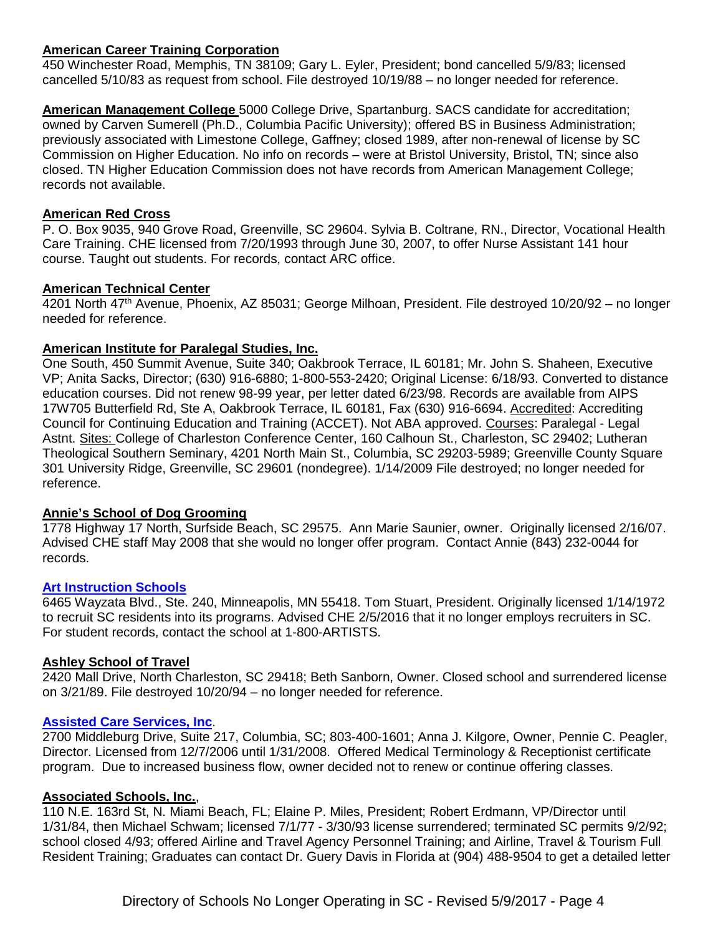## **American Career Training Corporation**

450 Winchester Road, Memphis, TN 38109; Gary L. Eyler, President; bond cancelled 5/9/83; licensed cancelled 5/10/83 as request from school. File destroyed 10/19/88 – no longer needed for reference.

**American Management College** 5000 College Drive, Spartanburg. SACS candidate for accreditation; owned by Carven Sumerell (Ph.D., Columbia Pacific University); offered BS in Business Administration; previously associated with Limestone College, Gaffney; closed 1989, after non-renewal of license by SC Commission on Higher Education. No info on records – were at Bristol University, Bristol, TN; since also closed. TN Higher Education Commission does not have records from American Management College; records not available.

### **American Red Cross**

P. O. Box 9035, 940 Grove Road, Greenville, SC 29604. Sylvia B. Coltrane, RN., Director, Vocational Health Care Training. CHE licensed from 7/20/1993 through June 30, 2007, to offer Nurse Assistant 141 hour course. Taught out students. For records, contact ARC office.

## **American Technical Center**

4201 North 47th Avenue, Phoenix, AZ 85031; George Milhoan, President. File destroyed 10/20/92 – no longer needed for reference.

### **American Institute for Paralegal Studies, Inc.**

One South, 450 Summit Avenue, Suite 340; Oakbrook Terrace, IL 60181; Mr. John S. Shaheen, Executive VP; Anita Sacks, Director; (630) 916-6880; 1-800-553-2420; Original License: 6/18/93. Converted to distance education courses. Did not renew 98-99 year, per letter dated 6/23/98. Records are available from AIPS 17W705 Butterfield Rd, Ste A, Oakbrook Terrace, IL 60181, Fax (630) 916-6694. Accredited: Accrediting Council for Continuing Education and Training (ACCET). Not ABA approved. Courses: Paralegal - Legal Astnt. Sites: College of Charleston Conference Center, 160 Calhoun St., Charleston, SC 29402; Lutheran Theological Southern Seminary, 4201 North Main St., Columbia, SC 29203-5989; Greenville County Square 301 University Ridge, Greenville, SC 29601 (nondegree). 1/14/2009 File destroyed; no longer needed for reference.

#### **Annie's School of Dog Grooming**

1778 Highway 17 North, Surfside Beach, SC 29575. Ann Marie Saunier, owner. Originally licensed 2/16/07. Advised CHE staff May 2008 that she would no longer offer program. Contact Annie (843) 232-0044 for records.

#### **[Art Instruction Schools](https://artinstructionschools.edu/)**

6465 Wayzata Blvd., Ste. 240, Minneapolis, MN 55418. Tom Stuart, President. Originally licensed 1/14/1972 to recruit SC residents into its programs. Advised CHE 2/5/2016 that it no longer employs recruiters in SC. For student records, contact the school at 1-800-ARTISTS.

## **Ashley School of Travel**

2420 Mall Drive, North Charleston, SC 29418; Beth Sanborn, Owner. Closed school and surrendered license on 3/21/89. File destroyed 10/20/94 – no longer needed for reference.

#### **[Assisted Care Services, Inc](http://www.assistedcareservices.net/)**.

2700 Middleburg Drive, Suite 217, Columbia, SC; 803-400-1601; Anna J. Kilgore, Owner, Pennie C. Peagler, Director. Licensed from 12/7/2006 until 1/31/2008. Offered Medical Terminology & Receptionist certificate program. Due to increased business flow, owner decided not to renew or continue offering classes.

#### **Associated Schools, Inc.**,

110 N.E. 163rd St, N. Miami Beach, FL; Elaine P. Miles, President; Robert Erdmann, VP/Director until 1/31/84, then Michael Schwam; licensed 7/1/77 - 3/30/93 license surrendered; terminated SC permits 9/2/92; school closed 4/93; offered Airline and Travel Agency Personnel Training; and Airline, Travel & Tourism Full Resident Training; Graduates can contact Dr. Guery Davis in Florida at (904) 488-9504 to get a detailed letter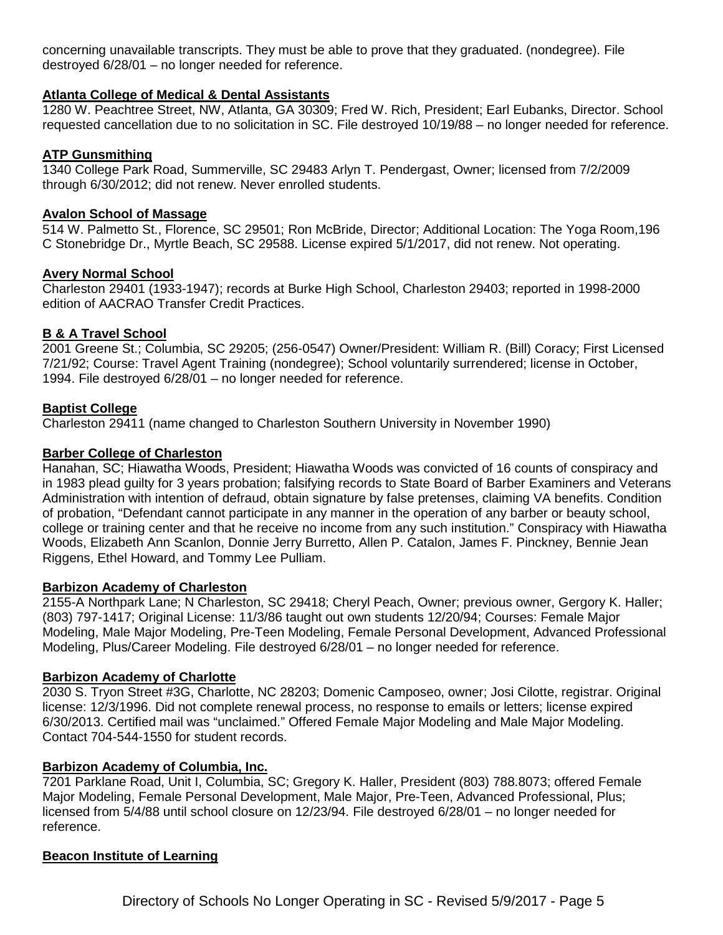concerning unavailable transcripts. They must be able to prove that they graduated. (nondegree). File destroyed 6/28/01 – no longer needed for reference.

#### **Atlanta College of Medical & Dental Assistants**

1280 W. Peachtree Street, NW, Atlanta, GA 30309; Fred W. Rich, President; Earl Eubanks, Director. School requested cancellation due to no solicitation in SC. File destroyed 10/19/88 – no longer needed for reference.

### **ATP Gunsmithing**

1340 College Park Road, Summerville, SC 29483 Arlyn T. Pendergast, Owner; licensed from 7/2/2009 through 6/30/2012; did not renew. Never enrolled students.

### **Avalon School of Massage**

514 W. Palmetto St., Florence, SC 29501; Ron McBride, Director; Additional Location: The Yoga Room,196 C Stonebridge Dr., Myrtle Beach, SC 29588. License expired 5/1/2017, did not renew. Not operating.

#### **Avery Normal School**

Charleston 29401 (1933-1947); records at Burke High School, Charleston 29403; reported in 1998-2000 edition of AACRAO Transfer Credit Practices.

## **B & A Travel School**

2001 Greene St.; Columbia, SC 29205; (256-0547) Owner/President: William R. (Bill) Coracy; First Licensed 7/21/92; Course: Travel Agent Training (nondegree); School voluntarily surrendered; license in October, 1994. File destroyed 6/28/01 – no longer needed for reference.

### **Baptist College**

Charleston 29411 (name changed to Charleston Southern University in November 1990)

### **Barber College of Charleston**

Hanahan, SC; Hiawatha Woods, President; Hiawatha Woods was convicted of 16 counts of conspiracy and in 1983 plead guilty for 3 years probation; falsifying records to State Board of Barber Examiners and Veterans Administration with intention of defraud, obtain signature by false pretenses, claiming VA benefits. Condition of probation, "Defendant cannot participate in any manner in the operation of any barber or beauty school, college or training center and that he receive no income from any such institution." Conspiracy with Hiawatha Woods, Elizabeth Ann Scanlon, Donnie Jerry Burretto, Allen P. Catalon, James F. Pinckney, Bennie Jean Riggens, Ethel Howard, and Tommy Lee Pulliam.

#### **Barbizon Academy of Charleston**

2155-A Northpark Lane; N Charleston, SC 29418; Cheryl Peach, Owner; previous owner, Gergory K. Haller; (803) 797-1417; Original License: 11/3/86 taught out own students 12/20/94; Courses: Female Major Modeling, Male Major Modeling, Pre-Teen Modeling, Female Personal Development, Advanced Professional Modeling, Plus/Career Modeling. File destroyed 6/28/01 – no longer needed for reference.

#### **Barbizon Academy of Charlotte**

2030 S. Tryon Street #3G, Charlotte, NC 28203; Domenic Camposeo, owner; Josi Cilotte, registrar. Original license: 12/3/1996. Did not complete renewal process, no response to emails or letters; license expired 6/30/2013. Certified mail was "unclaimed." Offered Female Major Modeling and Male Major Modeling. Contact 704-544-1550 for student records.

#### **Barbizon Academy of Columbia, Inc.**

7201 Parklane Road, Unit I, Columbia, SC; Gregory K. Haller, President (803) 788.8073; offered Female Major Modeling, Female Personal Development, Male Major, Pre-Teen, Advanced Professional, Plus; licensed from 5/4/88 until school closure on 12/23/94. File destroyed 6/28/01 – no longer needed for reference.

#### **Beacon Institute of Learning**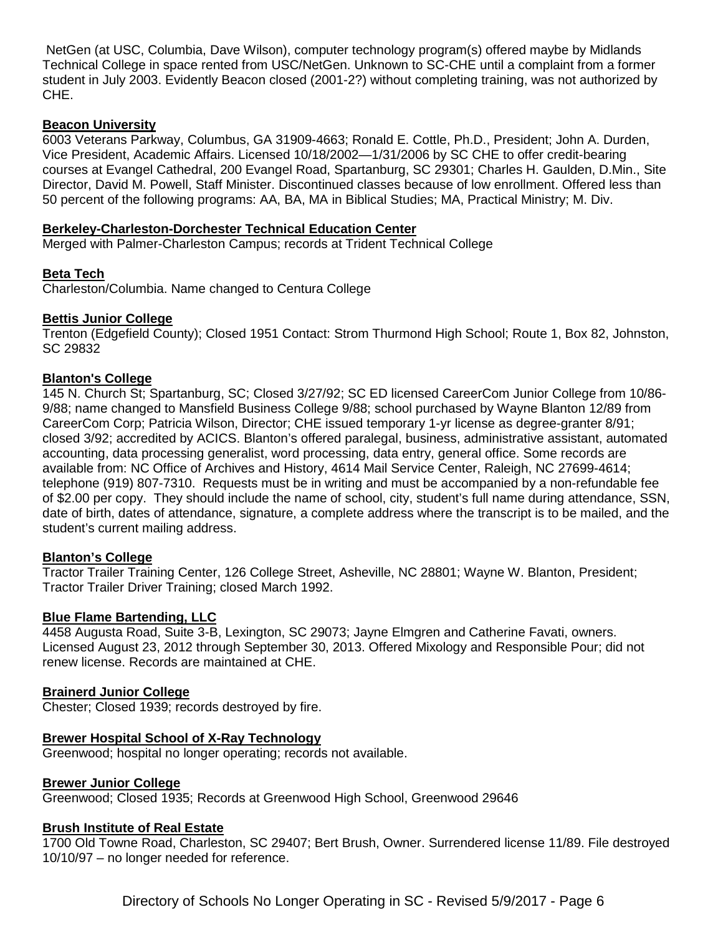NetGen (at USC, Columbia, Dave Wilson), computer technology program(s) offered maybe by Midlands Technical College in space rented from USC/NetGen. Unknown to SC-CHE until a complaint from a former student in July 2003. Evidently Beacon closed (2001-2?) without completing training, was not authorized by CHE.

## **Beacon University**

6003 Veterans Parkway, Columbus, GA 31909-4663; Ronald E. Cottle, Ph.D., President; John A. Durden, Vice President, Academic Affairs. Licensed 10/18/2002—1/31/2006 by SC CHE to offer credit-bearing courses at Evangel Cathedral, 200 Evangel Road, Spartanburg, SC 29301; Charles H. Gaulden, D.Min., Site Director, David M. Powell, Staff Minister. Discontinued classes because of low enrollment. Offered less than 50 percent of the following programs: AA, BA, MA in Biblical Studies; MA, Practical Ministry; M. Div.

### **Berkeley-Charleston-Dorchester Technical Education Center**

Merged with Palmer-Charleston Campus; records at Trident Technical College

#### **Beta Tech**

Charleston/Columbia. Name changed to Centura College

### **Bettis Junior College**

Trenton (Edgefield County); Closed 1951 Contact: Strom Thurmond High School; Route 1, Box 82, Johnston, SC 29832

### **Blanton's College**

145 N. Church St; Spartanburg, SC; Closed 3/27/92; SC ED licensed CareerCom Junior College from 10/86- 9/88; name changed to Mansfield Business College 9/88; school purchased by Wayne Blanton 12/89 from CareerCom Corp; Patricia Wilson, Director; CHE issued temporary 1-yr license as degree-granter 8/91; closed 3/92; accredited by ACICS. Blanton's offered paralegal, business, administrative assistant, automated accounting, data processing generalist, word processing, data entry, general office. Some records are available from: NC Office of Archives and History, 4614 Mail Service Center, Raleigh, NC 27699-4614; telephone (919) 807-7310. Requests must be in writing and must be accompanied by a non-refundable fee of \$2.00 per copy. They should include the name of school, city, student's full name during attendance, SSN, date of birth, dates of attendance, signature, a complete address where the transcript is to be mailed, and the student's current mailing address.

#### **Blanton's College**

Tractor Trailer Training Center, 126 College Street, Asheville, NC 28801; Wayne W. Blanton, President; Tractor Trailer Driver Training; closed March 1992.

#### **Blue Flame Bartending, LLC**

4458 Augusta Road, Suite 3-B, Lexington, SC 29073; Jayne Elmgren and Catherine Favati, owners. Licensed August 23, 2012 through September 30, 2013. Offered Mixology and Responsible Pour; did not renew license. Records are maintained at CHE.

#### **Brainerd Junior College**

Chester; Closed 1939; records destroyed by fire.

#### **Brewer Hospital School of X-Ray Technology**

Greenwood; hospital no longer operating; records not available.

#### **Brewer Junior College**

Greenwood; Closed 1935; Records at Greenwood High School, Greenwood 29646

#### **Brush Institute of Real Estate**

1700 Old Towne Road, Charleston, SC 29407; Bert Brush, Owner. Surrendered license 11/89. File destroyed 10/10/97 – no longer needed for reference.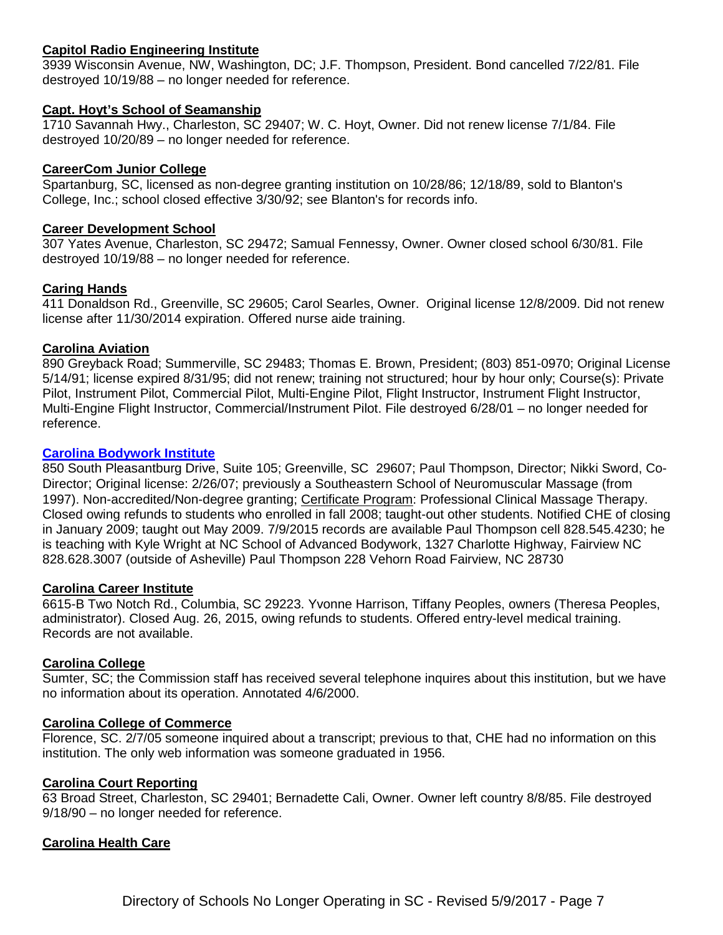## **Capitol Radio Engineering Institute**

3939 Wisconsin Avenue, NW, Washington, DC; J.F. Thompson, President. Bond cancelled 7/22/81. File destroyed 10/19/88 – no longer needed for reference.

#### **Capt. Hoyt's School of Seamanship**

1710 Savannah Hwy., Charleston, SC 29407; W. C. Hoyt, Owner. Did not renew license 7/1/84. File destroyed 10/20/89 – no longer needed for reference.

#### **CareerCom Junior College**

Spartanburg, SC, licensed as non-degree granting institution on 10/28/86; 12/18/89, sold to Blanton's College, Inc.; school closed effective 3/30/92; see Blanton's for records info.

#### **Career Development School**

307 Yates Avenue, Charleston, SC 29472; Samual Fennessy, Owner. Owner closed school 6/30/81. File destroyed 10/19/88 – no longer needed for reference.

### **Caring Hands**

411 Donaldson Rd., Greenville, SC 29605; Carol Searles, Owner. Original license 12/8/2009. Did not renew license after 11/30/2014 expiration. Offered nurse aide training.

#### **Carolina Aviation**

890 Greyback Road; Summerville, SC 29483; Thomas E. Brown, President; (803) 851-0970; Original License 5/14/91; license expired 8/31/95; did not renew; training not structured; hour by hour only; Course(s): Private Pilot, Instrument Pilot, Commercial Pilot, Multi-Engine Pilot, Flight Instructor, Instrument Flight Instructor, Multi-Engine Flight Instructor, Commercial/Instrument Pilot. File destroyed 6/28/01 – no longer needed for reference.

#### **[Carolina Bodywork Institute](http://www.carolina-massage-school.com/)**

850 South Pleasantburg Drive, Suite 105; Greenville, SC 29607; Paul Thompson, Director; Nikki Sword, Co-Director; Original license: 2/26/07; previously a Southeastern School of Neuromuscular Massage (from 1997). Non-accredited/Non-degree granting; Certificate Program: Professional Clinical Massage Therapy. Closed owing refunds to students who enrolled in fall 2008; taught-out other students. Notified CHE of closing in January 2009; taught out May 2009. 7/9/2015 records are available Paul Thompson cell 828.545.4230; he is teaching with Kyle Wright at NC School of Advanced Bodywork, 1327 Charlotte Highway, Fairview NC 828.628.3007 (outside of Asheville) Paul Thompson 228 Vehorn Road Fairview, NC 28730

#### **Carolina Career Institute**

6615-B Two Notch Rd., Columbia, SC 29223. Yvonne Harrison, Tiffany Peoples, owners (Theresa Peoples, administrator). Closed Aug. 26, 2015, owing refunds to students. Offered entry-level medical training. Records are not available.

#### **Carolina College**

Sumter, SC; the Commission staff has received several telephone inquires about this institution, but we have no information about its operation. Annotated 4/6/2000.

#### **Carolina College of Commerce**

Florence, SC. 2/7/05 someone inquired about a transcript; previous to that, CHE had no information on this institution. The only web information was someone graduated in 1956.

#### **Carolina Court Reporting**

63 Broad Street, Charleston, SC 29401; Bernadette Cali, Owner. Owner left country 8/8/85. File destroyed 9/18/90 – no longer needed for reference.

## **Carolina Health Care**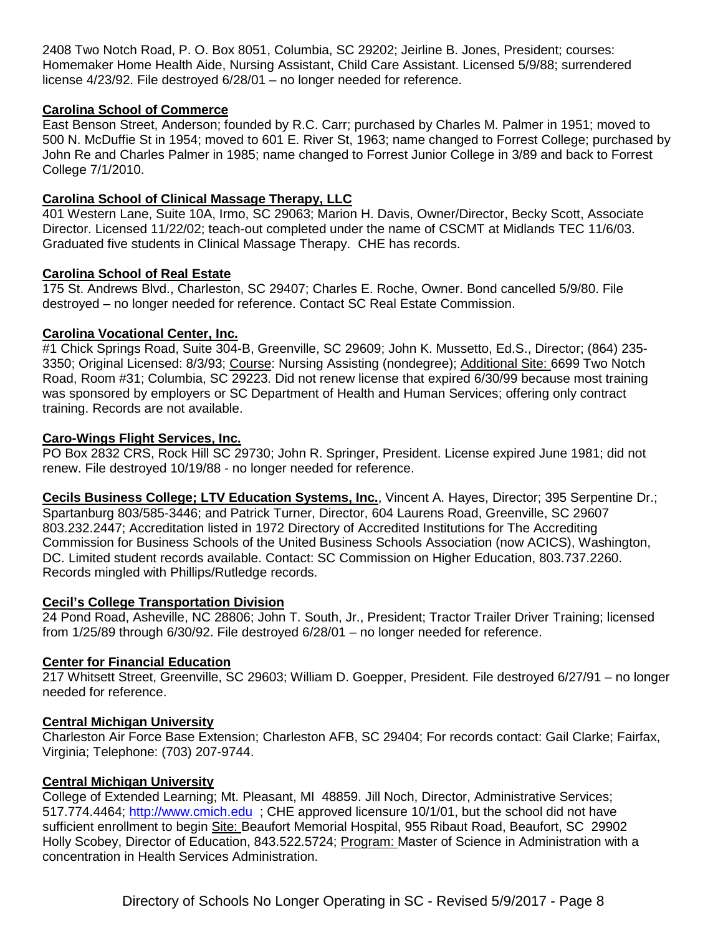2408 Two Notch Road, P. O. Box 8051, Columbia, SC 29202; Jeirline B. Jones, President; courses: Homemaker Home Health Aide, Nursing Assistant, Child Care Assistant. Licensed 5/9/88; surrendered license 4/23/92. File destroyed 6/28/01 – no longer needed for reference.

## **Carolina School of Commerce**

East Benson Street, Anderson; founded by R.C. Carr; purchased by Charles M. Palmer in 1951; moved to 500 N. McDuffie St in 1954; moved to 601 E. River St, 1963; name changed to Forrest College; purchased by John Re and Charles Palmer in 1985; name changed to Forrest Junior College in 3/89 and back to Forrest College 7/1/2010.

## **Carolina School of Clinical Massage Therapy, LLC**

401 Western Lane, Suite 10A, Irmo, SC 29063; Marion H. Davis, Owner/Director, Becky Scott, Associate Director. Licensed 11/22/02; teach-out completed under the name of CSCMT at Midlands TEC 11/6/03. Graduated five students in Clinical Massage Therapy. CHE has records.

## **Carolina School of Real Estate**

175 St. Andrews Blvd., Charleston, SC 29407; Charles E. Roche, Owner. Bond cancelled 5/9/80. File destroyed – no longer needed for reference. Contact SC Real Estate Commission.

## **Carolina Vocational Center, Inc.**

#1 Chick Springs Road, Suite 304-B, Greenville, SC 29609; John K. Mussetto, Ed.S., Director; (864) 235- 3350: Original Licensed: 8/3/93; Course: Nursing Assisting (nondegree); Additional Site: 6699 Two Notch Road, Room #31; Columbia, SC 29223. Did not renew license that expired 6/30/99 because most training was sponsored by employers or SC Department of Health and Human Services; offering only contract training. Records are not available.

## **Caro-Wings Flight Services, Inc.**

PO Box 2832 CRS, Rock Hill SC 29730; John R. Springer, President. License expired June 1981; did not renew. File destroyed 10/19/88 - no longer needed for reference.

**Cecils Business College; LTV Education Systems, Inc.**, Vincent A. Hayes, Director; 395 Serpentine Dr.; Spartanburg 803/585-3446; and Patrick Turner, Director, 604 Laurens Road, Greenville, SC 29607 803.232.2447; Accreditation listed in 1972 Directory of Accredited Institutions for The Accrediting Commission for Business Schools of the United Business Schools Association (now ACICS), Washington, DC. Limited student records available. Contact: SC Commission on Higher Education, 803.737.2260. Records mingled with Phillips/Rutledge records.

## **Cecil's College Transportation Division**

24 Pond Road, Asheville, NC 28806; John T. South, Jr., President; Tractor Trailer Driver Training; licensed from 1/25/89 through 6/30/92. File destroyed 6/28/01 – no longer needed for reference.

## **Center for Financial Education**

217 Whitsett Street, Greenville, SC 29603; William D. Goepper, President. File destroyed 6/27/91 – no longer needed for reference.

## **Central Michigan University**

Charleston Air Force Base Extension; Charleston AFB, SC 29404; For records contact: Gail Clarke; Fairfax, Virginia; Telephone: (703) 207-9744.

## **Central Michigan University**

College of Extended Learning; Mt. Pleasant, MI 48859. Jill Noch, Director, Administrative Services; 517.774.4464; [http://www.cmich.edu](http://www.cmich.edu/) ; CHE approved licensure 10/1/01, but the school did not have sufficient enrollment to begin Site: Beaufort Memorial Hospital, 955 Ribaut Road, Beaufort, SC 29902 Holly Scobey, Director of Education, 843.522.5724; Program: Master of Science in Administration with a concentration in Health Services Administration.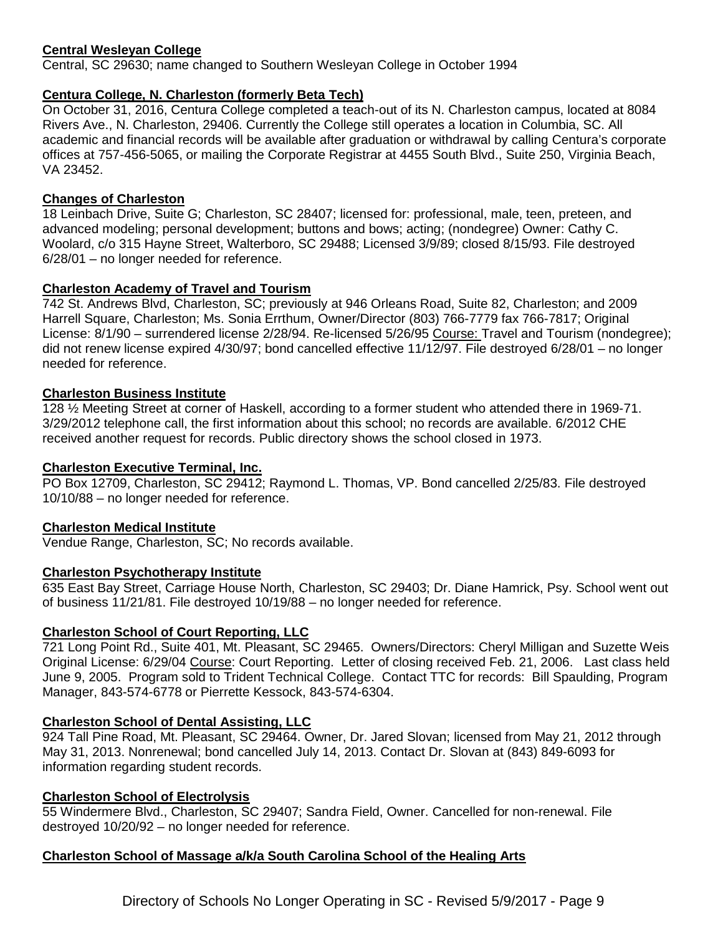## **Central Wesleyan College**

Central, SC 29630; name changed to Southern Wesleyan College in October 1994

## **Centura College, N. Charleston (formerly Beta Tech)**

On October 31, 2016, Centura College completed a teach-out of its N. Charleston campus, located at 8084 Rivers Ave., N. Charleston, 29406. Currently the College still operates a location in Columbia, SC. All academic and financial records will be available after graduation or withdrawal by calling Centura's corporate offices at 757-456-5065, or mailing the Corporate Registrar at 4455 South Blvd., Suite 250, Virginia Beach, VA 23452.

## **Changes of Charleston**

18 Leinbach Drive, Suite G; Charleston, SC 28407; licensed for: professional, male, teen, preteen, and advanced modeling; personal development; buttons and bows; acting; (nondegree) Owner: Cathy C. Woolard, c/o 315 Hayne Street, Walterboro, SC 29488; Licensed 3/9/89; closed 8/15/93. File destroyed 6/28/01 – no longer needed for reference.

## **Charleston Academy of Travel and Tourism**

742 St. Andrews Blvd, Charleston, SC; previously at 946 Orleans Road, Suite 82, Charleston; and 2009 Harrell Square, Charleston; Ms. Sonia Errthum, Owner/Director (803) 766-7779 fax 766-7817; Original License: 8/1/90 – surrendered license 2/28/94. Re-licensed 5/26/95 Course: Travel and Tourism (nondegree); did not renew license expired 4/30/97; bond cancelled effective 11/12/97. File destroyed 6/28/01 – no longer needed for reference.

## **Charleston Business Institute**

128 ½ Meeting Street at corner of Haskell, according to a former student who attended there in 1969-71. 3/29/2012 telephone call, the first information about this school; no records are available. 6/2012 CHE received another request for records. Public directory shows the school closed in 1973.

## **Charleston Executive Terminal, Inc.**

PO Box 12709, Charleston, SC 29412; Raymond L. Thomas, VP. Bond cancelled 2/25/83. File destroyed 10/10/88 – no longer needed for reference.

## **Charleston Medical Institute**

Vendue Range, Charleston, SC; No records available.

## **Charleston Psychotherapy Institute**

635 East Bay Street, Carriage House North, Charleston, SC 29403; Dr. Diane Hamrick, Psy. School went out of business 11/21/81. File destroyed 10/19/88 – no longer needed for reference.

## **Charleston School of Court Reporting, LLC**

721 Long Point Rd., Suite 401, Mt. Pleasant, SC 29465. Owners/Directors: Cheryl Milligan and Suzette Weis Original License: 6/29/04 Course: Court Reporting. Letter of closing received Feb. 21, 2006. Last class held June 9, 2005. Program sold to Trident Technical College. Contact TTC for records: Bill Spaulding, Program Manager, 843-574-6778 or Pierrette Kessock, 843-574-6304.

## **Charleston School of Dental Assisting, LLC**

924 Tall Pine Road, Mt. Pleasant, SC 29464. Owner, Dr. Jared Slovan; licensed from May 21, 2012 through May 31, 2013. Nonrenewal; bond cancelled July 14, 2013. Contact Dr. Slovan at (843) 849-6093 for information regarding student records.

## **Charleston School of Electrolysis**

55 Windermere Blvd., Charleston, SC 29407; Sandra Field, Owner. Cancelled for non-renewal. File destroyed 10/20/92 – no longer needed for reference.

## **Charleston School of Massage a/k/a South Carolina School of the Healing Arts**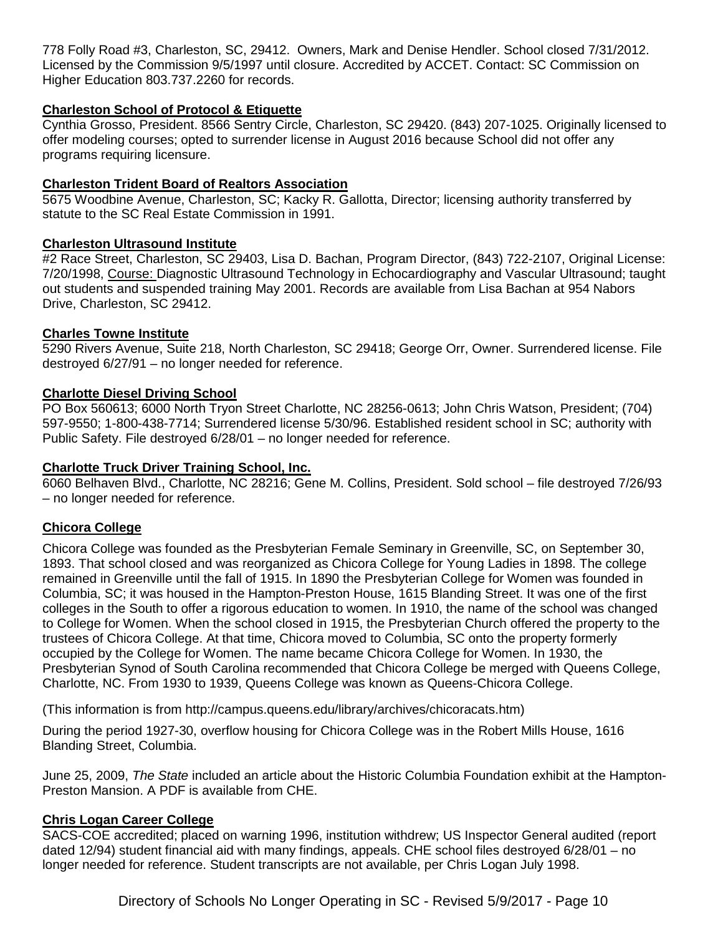778 Folly Road #3, Charleston, SC, 29412. Owners, Mark and Denise Hendler. School closed 7/31/2012. Licensed by the Commission 9/5/1997 until closure. Accredited by ACCET. Contact: SC Commission on Higher Education 803.737.2260 for records.

## **Charleston School of Protocol & Etiquette**

Cynthia Grosso, President. 8566 Sentry Circle, Charleston, SC 29420. (843) 207-1025. Originally licensed to offer modeling courses; opted to surrender license in August 2016 because School did not offer any programs requiring licensure.

## **Charleston Trident Board of Realtors Association**

5675 Woodbine Avenue, Charleston, SC; Kacky R. Gallotta, Director; licensing authority transferred by statute to the SC Real Estate Commission in 1991.

## **Charleston Ultrasound Institute**

#2 Race Street, Charleston, SC 29403, Lisa D. Bachan, Program Director, (843) 722-2107, Original License: 7/20/1998, Course: Diagnostic Ultrasound Technology in Echocardiography and Vascular Ultrasound; taught out students and suspended training May 2001. Records are available from Lisa Bachan at 954 Nabors Drive, Charleston, SC 29412.

## **Charles Towne Institute**

5290 Rivers Avenue, Suite 218, North Charleston, SC 29418; George Orr, Owner. Surrendered license. File destroyed 6/27/91 – no longer needed for reference.

## **Charlotte Diesel Driving School**

PO Box 560613; 6000 North Tryon Street Charlotte, NC 28256-0613; John Chris Watson, President; (704) 597-9550; 1-800-438-7714; Surrendered license 5/30/96. Established resident school in SC; authority with Public Safety. File destroyed 6/28/01 – no longer needed for reference.

## **Charlotte Truck Driver Training School, Inc.**

6060 Belhaven Blvd., Charlotte, NC 28216; Gene M. Collins, President. Sold school – file destroyed 7/26/93 – no longer needed for reference.

## **Chicora College**

Chicora College was founded as the Presbyterian Female Seminary in Greenville, SC, on September 30, 1893. That school closed and was reorganized as Chicora College for Young Ladies in 1898. The college remained in Greenville until the fall of 1915. In 1890 the Presbyterian College for Women was founded in Columbia, SC; it was housed in the Hampton-Preston House, 1615 Blanding Street. It was one of the first colleges in the South to offer a rigorous education to women. In 1910, the name of the school was changed to College for Women. When the school closed in 1915, the Presbyterian Church offered the property to the trustees of Chicora College. At that time, Chicora moved to Columbia, SC onto the property formerly occupied by the College for Women. The name became Chicora College for Women. In 1930, the Presbyterian Synod of South Carolina recommended that Chicora College be merged with Queens College, Charlotte, NC. From 1930 to 1939, Queens College was known as Queens-Chicora College.

(This information is from http://campus.queens.edu/library/archives/chicoracats.htm)

During the period 1927-30, overflow housing for Chicora College was in the Robert Mills House, 1616 Blanding Street, Columbia.

June 25, 2009, *The State* included an article about the Historic Columbia Foundation exhibit at the Hampton-Preston Mansion. A PDF is available from CHE.

## **Chris Logan Career College**

SACS-COE accredited; placed on warning 1996, institution withdrew; US Inspector General audited (report dated 12/94) student financial aid with many findings, appeals. CHE school files destroyed 6/28/01 – no longer needed for reference. Student transcripts are not available, per Chris Logan July 1998.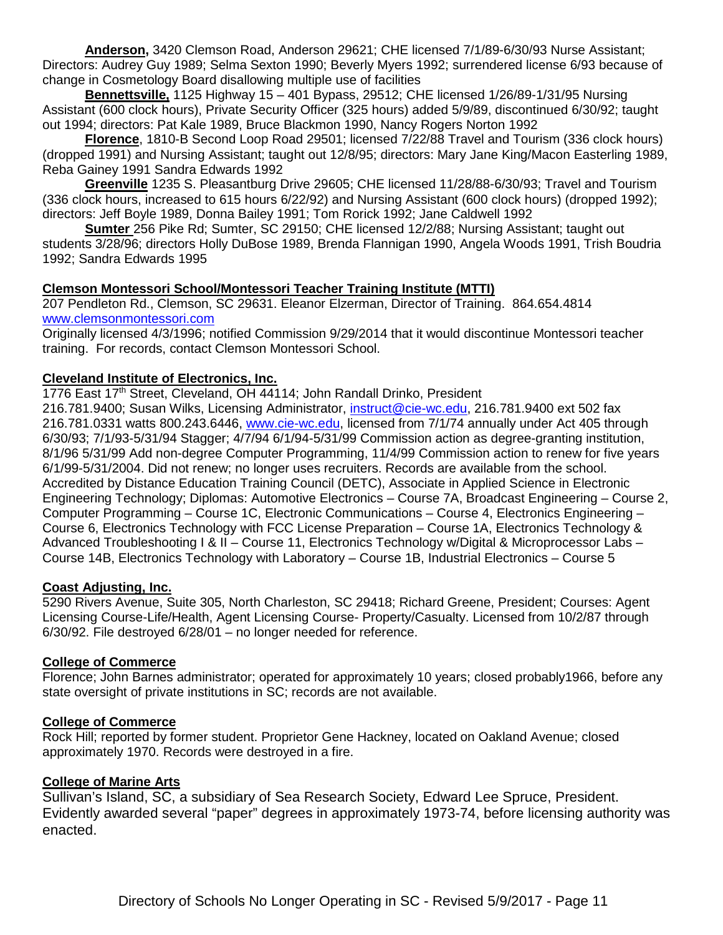**Anderson,** 3420 Clemson Road, Anderson 29621; CHE licensed 7/1/89-6/30/93 Nurse Assistant; Directors: Audrey Guy 1989; Selma Sexton 1990; Beverly Myers 1992; surrendered license 6/93 because of change in Cosmetology Board disallowing multiple use of facilities

**Bennettsville,** 1125 Highway 15 – 401 Bypass, 29512; CHE licensed 1/26/89-1/31/95 Nursing Assistant (600 clock hours), Private Security Officer (325 hours) added 5/9/89, discontinued 6/30/92; taught out 1994; directors: Pat Kale 1989, Bruce Blackmon 1990, Nancy Rogers Norton 1992

**Florence**, 1810-B Second Loop Road 29501; licensed 7/22/88 Travel and Tourism (336 clock hours) (dropped 1991) and Nursing Assistant; taught out 12/8/95; directors: Mary Jane King/Macon Easterling 1989, Reba Gainey 1991 Sandra Edwards 1992

**Greenville** 1235 S. Pleasantburg Drive 29605; CHE licensed 11/28/88-6/30/93; Travel and Tourism (336 clock hours, increased to 615 hours 6/22/92) and Nursing Assistant (600 clock hours) (dropped 1992); directors: Jeff Boyle 1989, Donna Bailey 1991; Tom Rorick 1992; Jane Caldwell 1992

**Sumter** 256 Pike Rd; Sumter, SC 29150; CHE licensed 12/2/88; Nursing Assistant; taught out students 3/28/96; directors Holly DuBose 1989, Brenda Flannigan 1990, Angela Woods 1991, Trish Boudria 1992; Sandra Edwards 1995

## **Clemson Montessori School/Montessori Teacher Training Institute (MTTI)**

207 Pendleton Rd., Clemson, SC 29631. Eleanor Elzerman, Director of Training. 864.654.4814 [www.clemsonmontessori.com](http://www.clemsonmontessori.com/)

Originally licensed 4/3/1996; notified Commission 9/29/2014 that it would discontinue Montessori teacher training. For records, contact Clemson Montessori School.

## **Cleveland Institute of Electronics, Inc.**

1776 East 17<sup>th</sup> Street, Cleveland, OH 44114; John Randall Drinko, President

216.781.9400; Susan Wilks, Licensing Administrator, [instruct@cie-wc.edu,](mailto:instruct@cie-wc.edu) 216.781.9400 ext 502 fax 216.781.0331 watts 800.243.6446, [www.cie-wc.edu,](http://www.cie-wc.edu/) licensed from 7/1/74 annually under Act 405 through 6/30/93; 7/1/93-5/31/94 Stagger; 4/7/94 6/1/94-5/31/99 Commission action as degree-granting institution, 8/1/96 5/31/99 Add non-degree Computer Programming, 11/4/99 Commission action to renew for five years 6/1/99-5/31/2004. Did not renew; no longer uses recruiters. Records are available from the school. Accredited by Distance Education Training Council (DETC), Associate in Applied Science in Electronic Engineering Technology; Diplomas: Automotive Electronics – Course 7A, Broadcast Engineering – Course 2, Computer Programming – Course 1C, Electronic Communications – Course 4, Electronics Engineering – Course 6, Electronics Technology with FCC License Preparation – Course 1A, Electronics Technology & Advanced Troubleshooting I & II – Course 11, Electronics Technology w/Digital & Microprocessor Labs – Course 14B, Electronics Technology with Laboratory – Course 1B, Industrial Electronics – Course 5

## **Coast Adjusting, Inc.**

5290 Rivers Avenue, Suite 305, North Charleston, SC 29418; Richard Greene, President; Courses: Agent Licensing Course-Life/Health, Agent Licensing Course- Property/Casualty. Licensed from 10/2/87 through 6/30/92. File destroyed 6/28/01 – no longer needed for reference.

#### **College of Commerce**

Florence; John Barnes administrator; operated for approximately 10 years; closed probably1966, before any state oversight of private institutions in SC; records are not available.

#### **College of Commerce**

Rock Hill; reported by former student. Proprietor Gene Hackney, located on Oakland Avenue; closed approximately 1970. Records were destroyed in a fire.

## **College of Marine Arts**

Sullivan's Island, SC, a subsidiary of Sea Research Society, Edward Lee Spruce, President. Evidently awarded several "paper" degrees in approximately 1973-74, before licensing authority was enacted.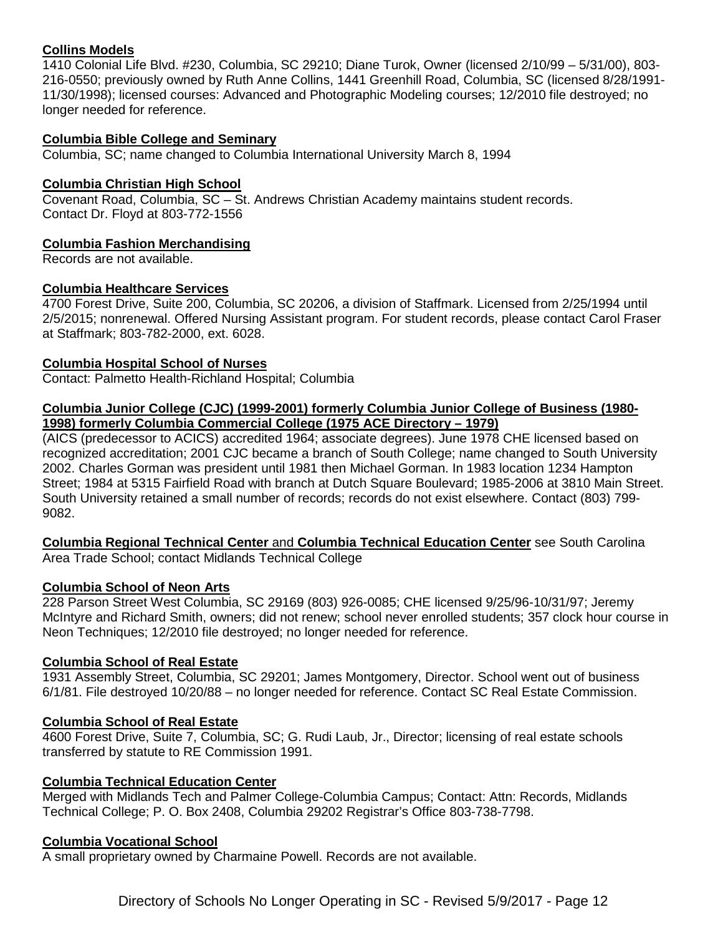## **Collins Models**

1410 Colonial Life Blvd. #230, Columbia, SC 29210; Diane Turok, Owner (licensed 2/10/99 – 5/31/00), 803- 216-0550; previously owned by Ruth Anne Collins, 1441 Greenhill Road, Columbia, SC (licensed 8/28/1991- 11/30/1998); licensed courses: Advanced and Photographic Modeling courses; 12/2010 file destroyed; no longer needed for reference.

## **Columbia Bible College and Seminary**

Columbia, SC; name changed to Columbia International University March 8, 1994

### **Columbia Christian High School**

Covenant Road, Columbia, SC – St. Andrews Christian Academy maintains student records. Contact Dr. Floyd at 803-772-1556

### **Columbia Fashion Merchandising**

Records are not available.

## **Columbia Healthcare Services**

4700 Forest Drive, Suite 200, Columbia, SC 20206, a division of Staffmark. Licensed from 2/25/1994 until 2/5/2015; nonrenewal. Offered Nursing Assistant program. For student records, please contact Carol Fraser at Staffmark; 803-782-2000, ext. 6028.

### **Columbia Hospital School of Nurses**

Contact: Palmetto Health-Richland Hospital; Columbia

### **Columbia Junior College (CJC) (1999-2001) formerly Columbia Junior College of Business (1980- 1998) formerly Columbia Commercial College (1975 ACE Directory – 1979)**

(AICS (predecessor to ACICS) accredited 1964; associate degrees). June 1978 CHE licensed based on recognized accreditation; 2001 CJC became a branch of South College; name changed to South University 2002. Charles Gorman was president until 1981 then Michael Gorman. In 1983 location 1234 Hampton Street; 1984 at 5315 Fairfield Road with branch at Dutch Square Boulevard; 1985-2006 at 3810 Main Street. South University retained a small number of records; records do not exist elsewhere. Contact (803) 799- 9082.

**Columbia Regional Technical Center** and **Columbia Technical Education Center** see South Carolina Area Trade School; contact Midlands Technical College

## **Columbia School of Neon Arts**

228 Parson Street West Columbia, SC 29169 (803) 926-0085; CHE licensed 9/25/96-10/31/97; Jeremy McIntyre and Richard Smith, owners; did not renew; school never enrolled students; 357 clock hour course in Neon Techniques; 12/2010 file destroyed; no longer needed for reference.

#### **Columbia School of Real Estate**

1931 Assembly Street, Columbia, SC 29201; James Montgomery, Director. School went out of business 6/1/81. File destroyed 10/20/88 – no longer needed for reference. Contact SC Real Estate Commission.

## **Columbia School of Real Estate**

4600 Forest Drive, Suite 7, Columbia, SC; G. Rudi Laub, Jr., Director; licensing of real estate schools transferred by statute to RE Commission 1991.

## **Columbia Technical Education Center**

Merged with Midlands Tech and Palmer College-Columbia Campus; Contact: Attn: Records, Midlands Technical College; P. O. Box 2408, Columbia 29202 Registrar's Office 803-738-7798.

## **Columbia Vocational School**

A small proprietary owned by Charmaine Powell. Records are not available.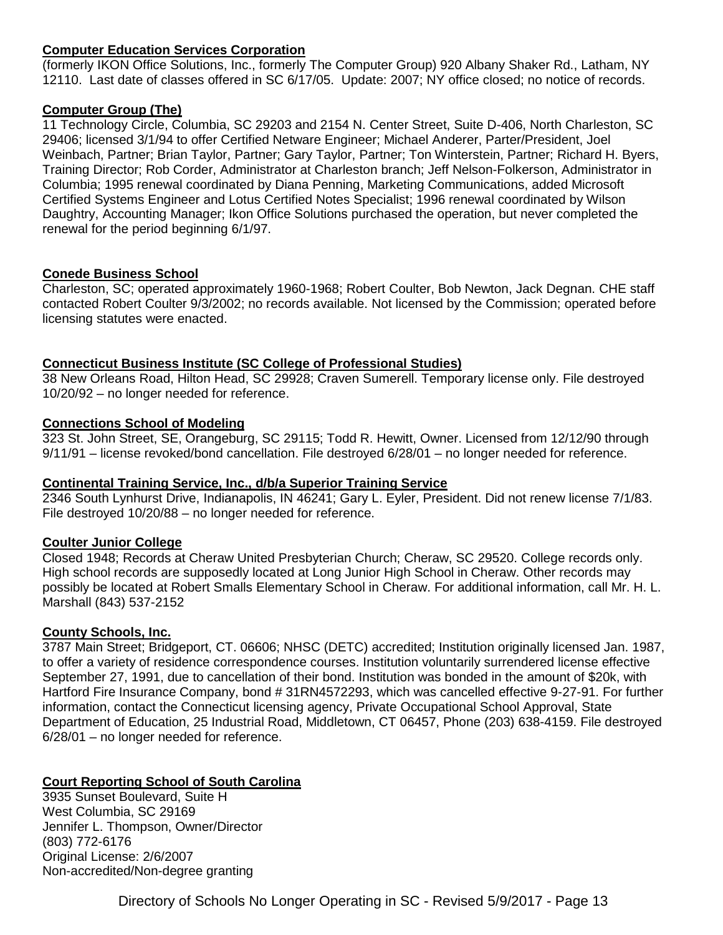## **Computer Education Services Corporation**

(formerly IKON Office Solutions, Inc., formerly The Computer Group) 920 Albany Shaker Rd., Latham, NY 12110. Last date of classes offered in SC 6/17/05. Update: 2007; NY office closed; no notice of records.

#### **Computer Group (The)**

11 Technology Circle, Columbia, SC 29203 and 2154 N. Center Street, Suite D-406, North Charleston, SC 29406; licensed 3/1/94 to offer Certified Netware Engineer; Michael Anderer, Parter/President, Joel Weinbach, Partner; Brian Taylor, Partner; Gary Taylor, Partner; Ton Winterstein, Partner; Richard H. Byers, Training Director; Rob Corder, Administrator at Charleston branch; Jeff Nelson-Folkerson, Administrator in Columbia; 1995 renewal coordinated by Diana Penning, Marketing Communications, added Microsoft Certified Systems Engineer and Lotus Certified Notes Specialist; 1996 renewal coordinated by Wilson Daughtry, Accounting Manager; Ikon Office Solutions purchased the operation, but never completed the renewal for the period beginning 6/1/97.

### **Conede Business School**

Charleston, SC; operated approximately 1960-1968; Robert Coulter, Bob Newton, Jack Degnan. CHE staff contacted Robert Coulter 9/3/2002; no records available. Not licensed by the Commission; operated before licensing statutes were enacted.

### **Connecticut Business Institute (SC College of Professional Studies)**

38 New Orleans Road, Hilton Head, SC 29928; Craven Sumerell. Temporary license only. File destroyed 10/20/92 – no longer needed for reference.

### **Connections School of Modeling**

323 St. John Street, SE, Orangeburg, SC 29115; Todd R. Hewitt, Owner. Licensed from 12/12/90 through 9/11/91 – license revoked/bond cancellation. File destroyed 6/28/01 – no longer needed for reference.

#### **Continental Training Service, Inc., d/b/a Superior Training Service**

2346 South Lynhurst Drive, Indianapolis, IN 46241; Gary L. Eyler, President. Did not renew license 7/1/83. File destroyed 10/20/88 – no longer needed for reference.

## **Coulter Junior College**

Closed 1948; Records at Cheraw United Presbyterian Church; Cheraw, SC 29520. College records only. High school records are supposedly located at Long Junior High School in Cheraw. Other records may possibly be located at Robert Smalls Elementary School in Cheraw. For additional information, call Mr. H. L. Marshall (843) 537-2152

## **County Schools, Inc.**

3787 Main Street; Bridgeport, CT. 06606; NHSC (DETC) accredited; Institution originally licensed Jan. 1987, to offer a variety of residence correspondence courses. Institution voluntarily surrendered license effective September 27, 1991, due to cancellation of their bond. Institution was bonded in the amount of \$20k, with Hartford Fire Insurance Company, bond # 31RN4572293, which was cancelled effective 9-27-91. For further information, contact the Connecticut licensing agency, Private Occupational School Approval, State Department of Education, 25 Industrial Road, Middletown, CT 06457, Phone (203) 638-4159. File destroyed 6/28/01 – no longer needed for reference.

## **Court Reporting School of South Carolina**

3935 Sunset Boulevard, Suite H West Columbia, SC 29169 Jennifer L. Thompson, Owner/Director (803) 772-6176 Original License: 2/6/2007 Non-accredited/Non-degree granting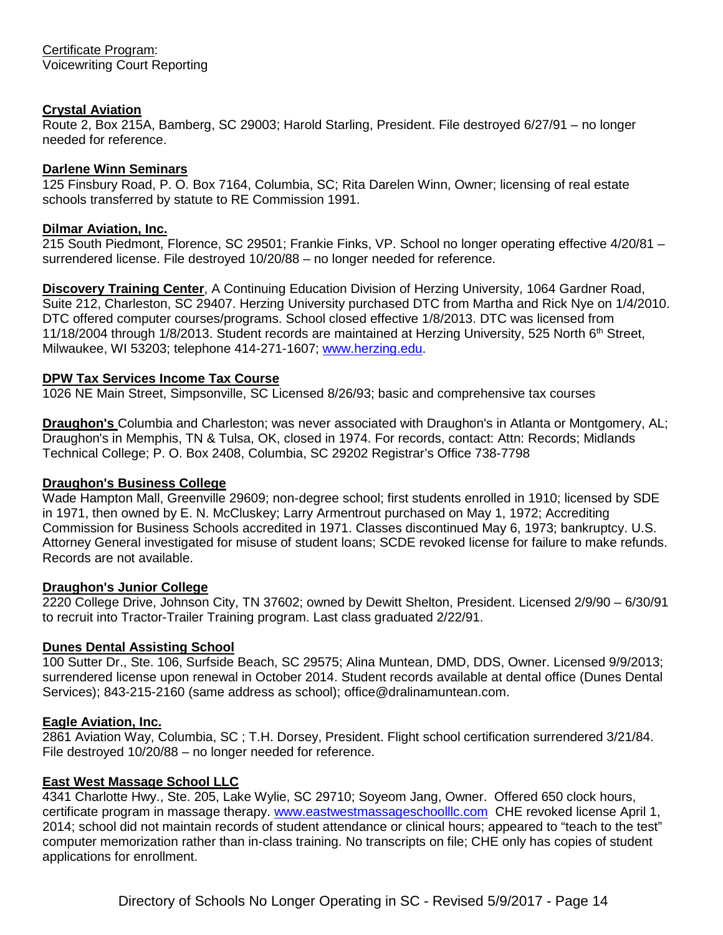## **Crystal Aviation**

Route 2, Box 215A, Bamberg, SC 29003; Harold Starling, President. File destroyed 6/27/91 – no longer needed for reference.

## **Darlene Winn Seminars**

125 Finsbury Road, P. O. Box 7164, Columbia, SC; Rita Darelen Winn, Owner; licensing of real estate schools transferred by statute to RE Commission 1991.

## **Dilmar Aviation, Inc.**

215 South Piedmont, Florence, SC 29501; Frankie Finks, VP. School no longer operating effective 4/20/81 – surrendered license. File destroyed 10/20/88 – no longer needed for reference.

**Discovery Training Center**, A Continuing Education Division of Herzing University, 1064 Gardner Road, Suite 212, Charleston, SC 29407. Herzing University purchased DTC from Martha and Rick Nye on 1/4/2010. DTC offered computer courses/programs. School closed effective 1/8/2013. DTC was licensed from 11/18/2004 through 1/8/2013. Student records are maintained at Herzing University, 525 North 6<sup>th</sup> Street, Milwaukee, WI 53203; telephone 414-271-1607; [www.herzing.edu.](http://www.herzing.edu/)

## **DPW Tax Services Income Tax Course**

1026 NE Main Street, Simpsonville, SC Licensed 8/26/93; basic and comprehensive tax courses

**Draughon's** Columbia and Charleston; was never associated with Draughon's in Atlanta or Montgomery, AL; Draughon's in Memphis, TN & Tulsa, OK, closed in 1974. For records, contact: Attn: Records; Midlands Technical College; P. O. Box 2408, Columbia, SC 29202 Registrar's Office 738-7798

## **Draughon's Business College**

Wade Hampton Mall, Greenville 29609; non-degree school; first students enrolled in 1910; licensed by SDE in 1971, then owned by E. N. McCluskey; Larry Armentrout purchased on May 1, 1972; Accrediting Commission for Business Schools accredited in 1971. Classes discontinued May 6, 1973; bankruptcy. U.S. Attorney General investigated for misuse of student loans; SCDE revoked license for failure to make refunds. Records are not available.

## **Draughon's Junior College**

2220 College Drive, Johnson City, TN 37602; owned by Dewitt Shelton, President. Licensed 2/9/90 – 6/30/91 to recruit into Tractor-Trailer Training program. Last class graduated 2/22/91.

## **Dunes Dental Assisting School**

100 Sutter Dr., Ste. 106, Surfside Beach, SC 29575; Alina Muntean, DMD, DDS, Owner. Licensed 9/9/2013; surrendered license upon renewal in October 2014. Student records available at dental office (Dunes Dental Services); 843-215-2160 (same address as school); office@dralinamuntean.com.

## **Eagle Aviation, Inc.**

2861 Aviation Way, Columbia, SC ; T.H. Dorsey, President. Flight school certification surrendered 3/21/84. File destroyed 10/20/88 – no longer needed for reference.

## **East West Massage School LLC**

4341 Charlotte Hwy., Ste. 205, Lake Wylie, SC 29710; Soyeom Jang, Owner. Offered 650 clock hours, certificate program in massage therapy. [www.eastwestmassageschoolllc.com](http://www.eastwestmassageschoolllc.com/) CHE revoked license April 1, 2014; school did not maintain records of student attendance or clinical hours; appeared to "teach to the test" computer memorization rather than in-class training. No transcripts on file; CHE only has copies of student applications for enrollment.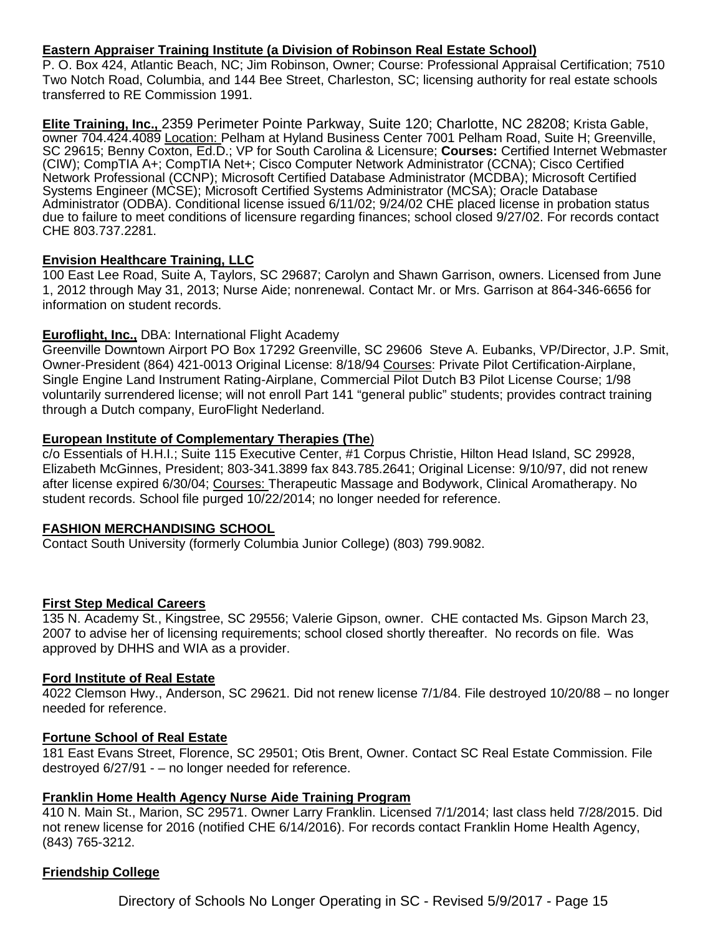## **Eastern Appraiser Training Institute (a Division of Robinson Real Estate School)**

P. O. Box 424, Atlantic Beach, NC; Jim Robinson, Owner; Course: Professional Appraisal Certification; 7510 Two Notch Road, Columbia, and 144 Bee Street, Charleston, SC; licensing authority for real estate schools transferred to RE Commission 1991.

**Elite Training, Inc.,** 2359 Perimeter Pointe Parkway, Suite 120; Charlotte, NC 28208; Krista Gable, owner 704.424.4089 Location: Pelham at Hyland Business Center 7001 Pelham Road, Suite H; Greenville, SC 29615; Benny Coxton, Ed.D.; VP for South Carolina & Licensure; **Courses:** Certified Internet Webmaster (CIW); CompTIA A+; CompTIA Net+; Cisco Computer Network Administrator (CCNA); Cisco Certified Network Professional (CCNP); Microsoft Certified Database Administrator (MCDBA); Microsoft Certified Systems Engineer (MCSE); Microsoft Certified Systems Administrator (MCSA); Oracle Database Administrator (ODBA). Conditional license issued 6/11/02; 9/24/02 CHE placed license in probation status due to failure to meet conditions of licensure regarding finances; school closed 9/27/02. For records contact CHE 803.737.2281.

## **Envision Healthcare Training, LLC**

100 East Lee Road, Suite A, Taylors, SC 29687; Carolyn and Shawn Garrison, owners. Licensed from June 1, 2012 through May 31, 2013; Nurse Aide; nonrenewal. Contact Mr. or Mrs. Garrison at 864-346-6656 for information on student records.

## **Euroflight, Inc.,** DBA: International Flight Academy

Greenville Downtown Airport PO Box 17292 Greenville, SC 29606 Steve A. Eubanks, VP/Director, J.P. Smit, Owner-President (864) 421-0013 Original License: 8/18/94 Courses: Private Pilot Certification-Airplane, Single Engine Land Instrument Rating-Airplane, Commercial Pilot Dutch B3 Pilot License Course; 1/98 voluntarily surrendered license; will not enroll Part 141 "general public" students; provides contract training through a Dutch company, EuroFlight Nederland.

### **European Institute of Complementary Therapies (The**)

c/o Essentials of H.H.I.; Suite 115 Executive Center, #1 Corpus Christie, Hilton Head Island, SC 29928, Elizabeth McGinnes, President; 803-341.3899 fax 843.785.2641; Original License: 9/10/97, did not renew after license expired 6/30/04; Courses: Therapeutic Massage and Bodywork, Clinical Aromatherapy. No student records. School file purged 10/22/2014; no longer needed for reference.

## **FASHION MERCHANDISING SCHOOL**

Contact South University (formerly Columbia Junior College) (803) 799.9082.

## **First Step Medical Careers**

135 N. Academy St., Kingstree, SC 29556; Valerie Gipson, owner. CHE contacted Ms. Gipson March 23, 2007 to advise her of licensing requirements; school closed shortly thereafter. No records on file. Was approved by DHHS and WIA as a provider.

#### **Ford Institute of Real Estate**

4022 Clemson Hwy., Anderson, SC 29621. Did not renew license 7/1/84. File destroyed 10/20/88 – no longer needed for reference.

#### **Fortune School of Real Estate**

181 East Evans Street, Florence, SC 29501; Otis Brent, Owner. Contact SC Real Estate Commission. File destroyed 6/27/91 - – no longer needed for reference.

#### **Franklin Home Health Agency Nurse Aide Training Program**

410 N. Main St., Marion, SC 29571. Owner Larry Franklin. Licensed 7/1/2014; last class held 7/28/2015. Did not renew license for 2016 (notified CHE 6/14/2016). For records contact Franklin Home Health Agency, (843) 765-3212.

#### **Friendship College**

Directory of Schools No Longer Operating in SC - Revised 5/9/2017 - Page 15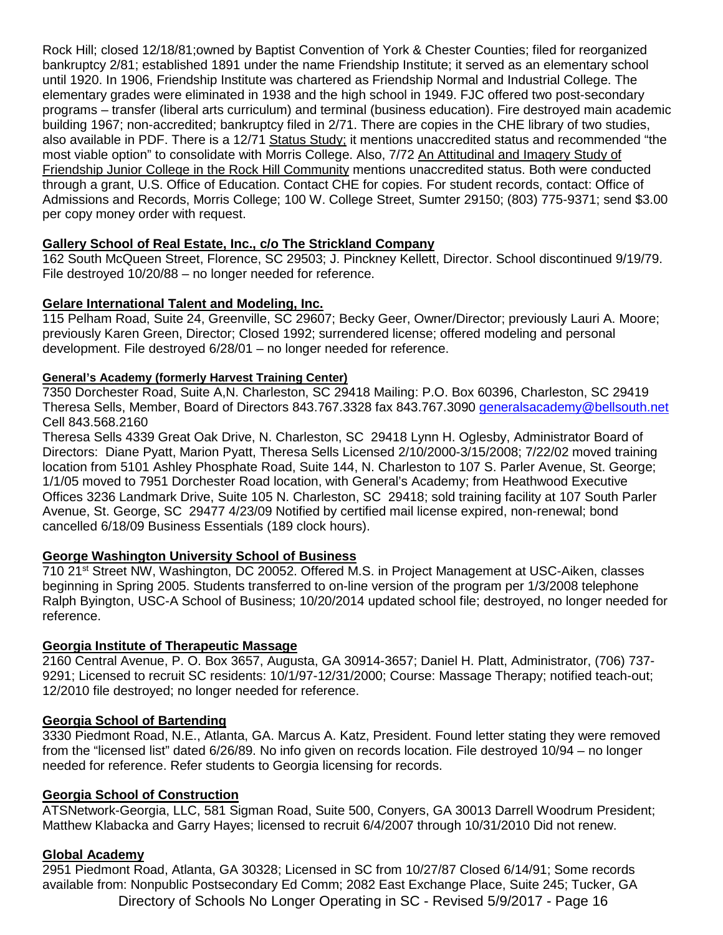Rock Hill; closed 12/18/81;owned by Baptist Convention of York & Chester Counties; filed for reorganized bankruptcy 2/81; established 1891 under the name Friendship Institute; it served as an elementary school until 1920. In 1906, Friendship Institute was chartered as Friendship Normal and Industrial College. The elementary grades were eliminated in 1938 and the high school in 1949. FJC offered two post-secondary programs – transfer (liberal arts curriculum) and terminal (business education). Fire destroyed main academic building 1967; non-accredited; bankruptcy filed in 2/71. There are copies in the CHE library of two studies, also available in PDF. There is a 12/71 Status Study; it mentions unaccredited status and recommended "the most viable option" to consolidate with Morris College. Also, 7/72 An Attitudinal and Imagery Study of Friendship Junior College in the Rock Hill Community mentions unaccredited status. Both were conducted through a grant, U.S. Office of Education. Contact CHE for copies. For student records, contact: Office of Admissions and Records, Morris College; 100 W. College Street, Sumter 29150; (803) 775-9371; send \$3.00 per copy money order with request.

## **Gallery School of Real Estate, Inc., c/o The Strickland Company**

162 South McQueen Street, Florence, SC 29503; J. Pinckney Kellett, Director. School discontinued 9/19/79. File destroyed 10/20/88 – no longer needed for reference.

## **Gelare International Talent and Modeling, Inc.**

115 Pelham Road, Suite 24, Greenville, SC 29607; Becky Geer, Owner/Director; previously Lauri A. Moore; previously Karen Green, Director; Closed 1992; surrendered license; offered modeling and personal development. File destroyed 6/28/01 – no longer needed for reference.

### **General's Academy (formerly Harvest Training Center)**

7350 Dorchester Road, Suite A,N. Charleston, SC 29418 Mailing: P.O. Box 60396, Charleston, SC 29419 Theresa Sells, Member, Board of Directors 843.767.3328 fax 843.767.3090 [generalsacademy@bellsouth.net](mailto:generalsacademy@bellsouth.net) Cell 843.568.2160

Theresa Sells 4339 Great Oak Drive, N. Charleston, SC 29418 Lynn H. Oglesby, Administrator Board of Directors: Diane Pyatt, Marion Pyatt, Theresa Sells Licensed 2/10/2000-3/15/2008; 7/22/02 moved training location from 5101 Ashley Phosphate Road, Suite 144, N. Charleston to 107 S. Parler Avenue, St. George; 1/1/05 moved to 7951 Dorchester Road location, with General's Academy; from Heathwood Executive Offices 3236 Landmark Drive, Suite 105 N. Charleston, SC 29418; sold training facility at 107 South Parler Avenue, St. George, SC 29477 4/23/09 Notified by certified mail license expired, non-renewal; bond cancelled 6/18/09 Business Essentials (189 clock hours).

## **George Washington University School of Business**

710 21st Street NW, Washington, DC 20052. Offered M.S. in Project Management at USC-Aiken, classes beginning in Spring 2005. Students transferred to on-line version of the program per 1/3/2008 telephone Ralph Byington, USC-A School of Business; 10/20/2014 updated school file; destroyed, no longer needed for reference.

## **Georgia Institute of Therapeutic Massage**

2160 Central Avenue, P. O. Box 3657, Augusta, GA 30914-3657; Daniel H. Platt, Administrator, (706) 737- 9291; Licensed to recruit SC residents: 10/1/97-12/31/2000; Course: Massage Therapy; notified teach-out; 12/2010 file destroyed; no longer needed for reference.

#### **Georgia School of Bartending**

3330 Piedmont Road, N.E., Atlanta, GA. Marcus A. Katz, President. Found letter stating they were removed from the "licensed list" dated 6/26/89. No info given on records location. File destroyed 10/94 – no longer needed for reference. Refer students to Georgia licensing for records.

## **Georgia School of Construction**

ATSNetwork-Georgia, LLC, 581 Sigman Road, Suite 500, Conyers, GA 30013 Darrell Woodrum President; Matthew Klabacka and Garry Hayes; licensed to recruit 6/4/2007 through 10/31/2010 Did not renew.

#### **Global Academy**

Directory of Schools No Longer Operating in SC - Revised 5/9/2017 - Page 16 2951 Piedmont Road, Atlanta, GA 30328; Licensed in SC from 10/27/87 Closed 6/14/91; Some records available from: Nonpublic Postsecondary Ed Comm; 2082 East Exchange Place, Suite 245; Tucker, GA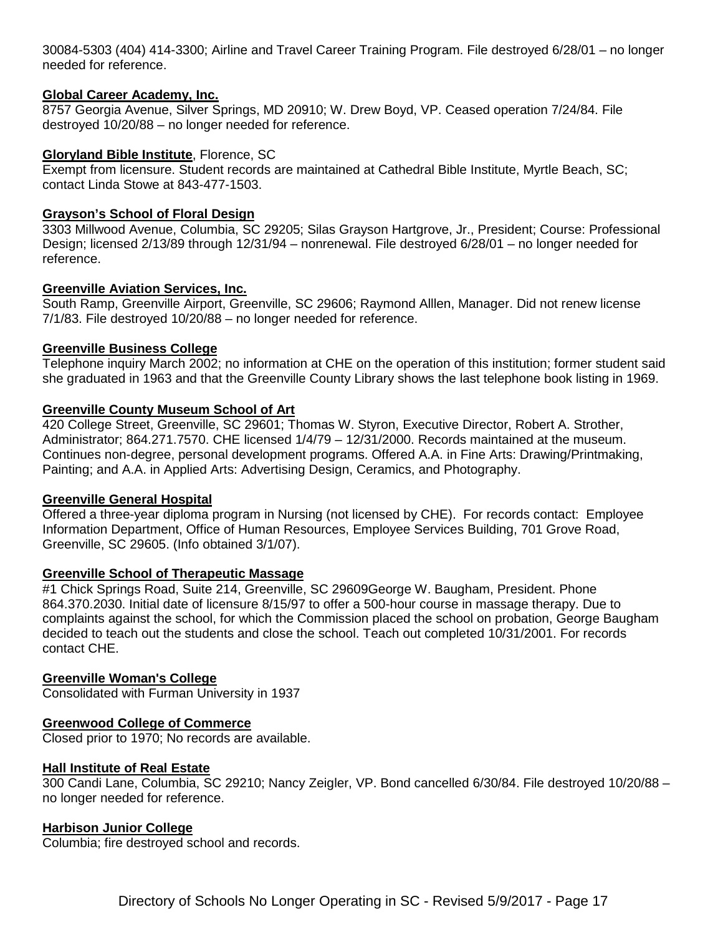30084-5303 (404) 414-3300; Airline and Travel Career Training Program. File destroyed 6/28/01 – no longer needed for reference.

#### **Global Career Academy, Inc.**

8757 Georgia Avenue, Silver Springs, MD 20910; W. Drew Boyd, VP. Ceased operation 7/24/84. File destroyed 10/20/88 – no longer needed for reference.

#### **Gloryland Bible Institute**, Florence, SC

Exempt from licensure. Student records are maintained at Cathedral Bible Institute, Myrtle Beach, SC; contact Linda Stowe at 843-477-1503.

## **Grayson's School of Floral Design**

3303 Millwood Avenue, Columbia, SC 29205; Silas Grayson Hartgrove, Jr., President; Course: Professional Design; licensed 2/13/89 through 12/31/94 – nonrenewal. File destroyed 6/28/01 – no longer needed for reference.

### **Greenville Aviation Services, Inc.**

South Ramp, Greenville Airport, Greenville, SC 29606; Raymond Alllen, Manager. Did not renew license 7/1/83. File destroyed 10/20/88 – no longer needed for reference.

### **Greenville Business College**

Telephone inquiry March 2002; no information at CHE on the operation of this institution; former student said she graduated in 1963 and that the Greenville County Library shows the last telephone book listing in 1969.

### **Greenville County Museum School of Art**

420 College Street, Greenville, SC 29601; Thomas W. Styron, Executive Director, Robert A. Strother, Administrator; 864.271.7570. CHE licensed 1/4/79 – 12/31/2000. Records maintained at the museum. Continues non-degree, personal development programs. Offered A.A. in Fine Arts: Drawing/Printmaking, Painting; and A.A. in Applied Arts: Advertising Design, Ceramics, and Photography.

#### **Greenville General Hospital**

Offered a three-year diploma program in Nursing (not licensed by CHE). For records contact: Employee Information Department, Office of Human Resources, Employee Services Building, 701 Grove Road, Greenville, SC 29605. (Info obtained 3/1/07).

#### **Greenville School of Therapeutic Massage**

#1 Chick Springs Road, Suite 214, Greenville, SC 29609George W. Baugham, President. Phone 864.370.2030. Initial date of licensure 8/15/97 to offer a 500-hour course in massage therapy. Due to complaints against the school, for which the Commission placed the school on probation, George Baugham decided to teach out the students and close the school. Teach out completed 10/31/2001. For records contact CHE.

#### **Greenville Woman's College**

Consolidated with Furman University in 1937

## **Greenwood College of Commerce**

Closed prior to 1970; No records are available.

#### **Hall Institute of Real Estate**

300 Candi Lane, Columbia, SC 29210; Nancy Zeigler, VP. Bond cancelled 6/30/84. File destroyed 10/20/88 – no longer needed for reference.

#### **Harbison Junior College**

Columbia; fire destroyed school and records.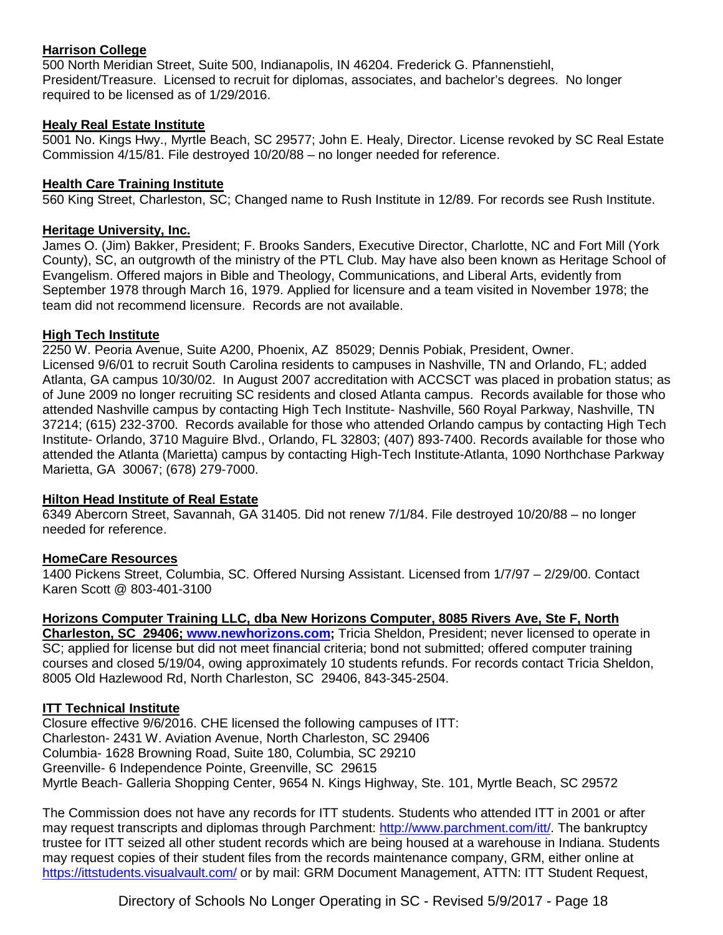## **Harrison College**

500 North Meridian Street, Suite 500, Indianapolis, IN 46204. Frederick G. Pfannenstiehl, President/Treasure. Licensed to recruit for diplomas, associates, and bachelor's degrees. No longer required to be licensed as of 1/29/2016.

## **Healy Real Estate Institute**

5001 No. Kings Hwy., Myrtle Beach, SC 29577; John E. Healy, Director. License revoked by SC Real Estate Commission 4/15/81. File destroyed 10/20/88 – no longer needed for reference.

## **Health Care Training Institute**

560 King Street, Charleston, SC; Changed name to Rush Institute in 12/89. For records see Rush Institute.

## **Heritage University, Inc.**

James O. (Jim) Bakker, President; F. Brooks Sanders, Executive Director, Charlotte, NC and Fort Mill (York County), SC, an outgrowth of the ministry of the PTL Club. May have also been known as Heritage School of Evangelism. Offered majors in Bible and Theology, Communications, and Liberal Arts, evidently from September 1978 through March 16, 1979. Applied for licensure and a team visited in November 1978; the team did not recommend licensure. Records are not available.

## **High Tech Institute**

2250 W. Peoria Avenue, Suite A200, Phoenix, AZ 85029; Dennis Pobiak, President, Owner. Licensed 9/6/01 to recruit South Carolina residents to campuses in Nashville, TN and Orlando, FL; added Atlanta, GA campus 10/30/02. In August 2007 accreditation with ACCSCT was placed in probation status; as of June 2009 no longer recruiting SC residents and closed Atlanta campus. Records available for those who attended Nashville campus by contacting High Tech Institute- Nashville, 560 Royal Parkway, Nashville, TN 37214; (615) 232-3700. Records available for those who attended Orlando campus by contacting High Tech Institute- Orlando, 3710 Maguire Blvd., Orlando, FL 32803; (407) 893-7400. Records available for those who attended the Atlanta (Marietta) campus by contacting High-Tech Institute-Atlanta, 1090 Northchase Parkway Marietta, GA 30067; (678) 279-7000.

## **Hilton Head Institute of Real Estate**

6349 Abercorn Street, Savannah, GA 31405. Did not renew 7/1/84. File destroyed 10/20/88 – no longer needed for reference.

## **HomeCare Resources**

1400 Pickens Street, Columbia, SC. Offered Nursing Assistant. Licensed from 1/7/97 – 2/29/00. Contact Karen Scott @ 803-401-3100

## **Horizons Computer Training LLC, dba New Horizons Computer, 8085 Rivers Ave, Ste F, North**

**Charleston, SC 29406; [www.newhorizons.com;](http://www.newhorizons.com/)** Tricia Sheldon, President; never licensed to operate in SC; applied for license but did not meet financial criteria; bond not submitted; offered computer training courses and closed 5/19/04, owing approximately 10 students refunds. For records contact Tricia Sheldon, 8005 Old Hazlewood Rd, North Charleston, SC 29406, 843-345-2504.

## **ITT Technical Institute**

Closure effective 9/6/2016. CHE licensed the following campuses of ITT: Charleston- 2431 W. Aviation Avenue, North Charleston, SC 29406 Columbia- 1628 Browning Road, Suite 180, Columbia, SC 29210 Greenville- 6 Independence Pointe, Greenville, SC 29615 Myrtle Beach- Galleria Shopping Center, 9654 N. Kings Highway, Ste. 101, Myrtle Beach, SC 29572

The Commission does not have any records for ITT students. Students who attended ITT in 2001 or after may request transcripts and diplomas through Parchment: [http://www.parchment.com/itt/.](http://www.parchment.com/itt/) The bankruptcy trustee for ITT seized all other student records which are being housed at a warehouse in Indiana. Students may request copies of their student files from the records maintenance company, GRM, either online at <https://ittstudents.visualvault.com/> or by mail: GRM Document Management, ATTN: ITT Student Request,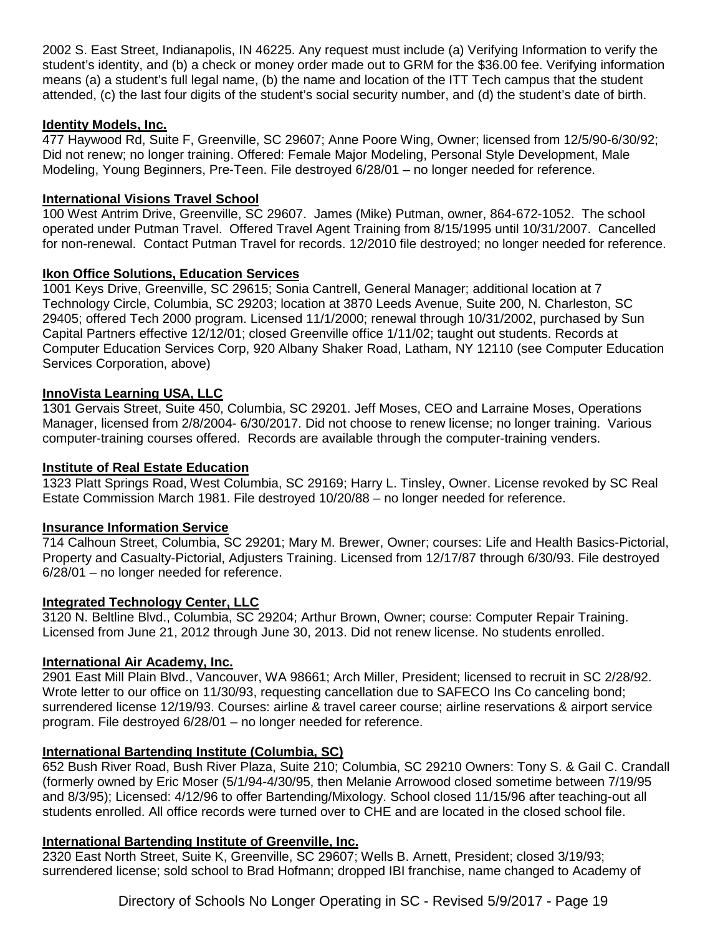2002 S. East Street, Indianapolis, IN 46225. Any request must include (a) Verifying Information to verify the student's identity, and (b) a check or money order made out to GRM for the \$36.00 fee. Verifying information means (a) a student's full legal name, (b) the name and location of the ITT Tech campus that the student attended, (c) the last four digits of the student's social security number, and (d) the student's date of birth.

## **Identity Models, Inc.**

477 Haywood Rd, Suite F, Greenville, SC 29607; Anne Poore Wing, Owner; licensed from 12/5/90-6/30/92; Did not renew; no longer training. Offered: Female Major Modeling, Personal Style Development, Male Modeling, Young Beginners, Pre-Teen. File destroyed 6/28/01 – no longer needed for reference.

## **International Visions Travel School**

100 West Antrim Drive, Greenville, SC 29607. James (Mike) Putman, owner, 864-672-1052. The school operated under Putman Travel. Offered Travel Agent Training from 8/15/1995 until 10/31/2007. Cancelled for non-renewal. Contact Putman Travel for records. 12/2010 file destroyed; no longer needed for reference.

## **Ikon Office Solutions, Education Services**

1001 Keys Drive, Greenville, SC 29615; Sonia Cantrell, General Manager; additional location at 7 Technology Circle, Columbia, SC 29203; location at 3870 Leeds Avenue, Suite 200, N. Charleston, SC 29405; offered Tech 2000 program. Licensed 11/1/2000; renewal through 10/31/2002, purchased by Sun Capital Partners effective 12/12/01; closed Greenville office 1/11/02; taught out students. Records at Computer Education Services Corp, 920 Albany Shaker Road, Latham, NY 12110 (see Computer Education Services Corporation, above)

## **InnoVista Learning USA, LLC**

1301 Gervais Street, Suite 450, Columbia, SC 29201. Jeff Moses, CEO and Larraine Moses, Operations Manager, licensed from 2/8/2004- 6/30/2017. Did not choose to renew license; no longer training. Various computer-training courses offered. Records are available through the computer-training venders.

## **Institute of Real Estate Education**

1323 Platt Springs Road, West Columbia, SC 29169; Harry L. Tinsley, Owner. License revoked by SC Real Estate Commission March 1981. File destroyed 10/20/88 – no longer needed for reference.

## **Insurance Information Service**

714 Calhoun Street, Columbia, SC 29201; Mary M. Brewer, Owner; courses: Life and Health Basics-Pictorial, Property and Casualty-Pictorial, Adjusters Training. Licensed from 12/17/87 through 6/30/93. File destroyed 6/28/01 – no longer needed for reference.

## **Integrated Technology Center, LLC**

3120 N. Beltline Blvd., Columbia, SC 29204; Arthur Brown, Owner; course: Computer Repair Training. Licensed from June 21, 2012 through June 30, 2013. Did not renew license. No students enrolled.

## **International Air Academy, Inc.**

2901 East Mill Plain Blvd., Vancouver, WA 98661; Arch Miller, President; licensed to recruit in SC 2/28/92. Wrote letter to our office on 11/30/93, requesting cancellation due to SAFECO Ins Co canceling bond; surrendered license 12/19/93. Courses: airline & travel career course; airline reservations & airport service program. File destroyed 6/28/01 – no longer needed for reference.

## **International Bartending Institute (Columbia, SC)**

652 Bush River Road, Bush River Plaza, Suite 210; Columbia, SC 29210 Owners: Tony S. & Gail C. Crandall (formerly owned by Eric Moser (5/1/94-4/30/95, then Melanie Arrowood closed sometime between 7/19/95 and 8/3/95); Licensed: 4/12/96 to offer Bartending/Mixology. School closed 11/15/96 after teaching-out all students enrolled. All office records were turned over to CHE and are located in the closed school file.

## **International Bartending Institute of Greenville, Inc.**

2320 East North Street, Suite K, Greenville, SC 29607; Wells B. Arnett, President; closed 3/19/93; surrendered license; sold school to Brad Hofmann; dropped IBI franchise, name changed to Academy of

Directory of Schools No Longer Operating in SC - Revised 5/9/2017 - Page 19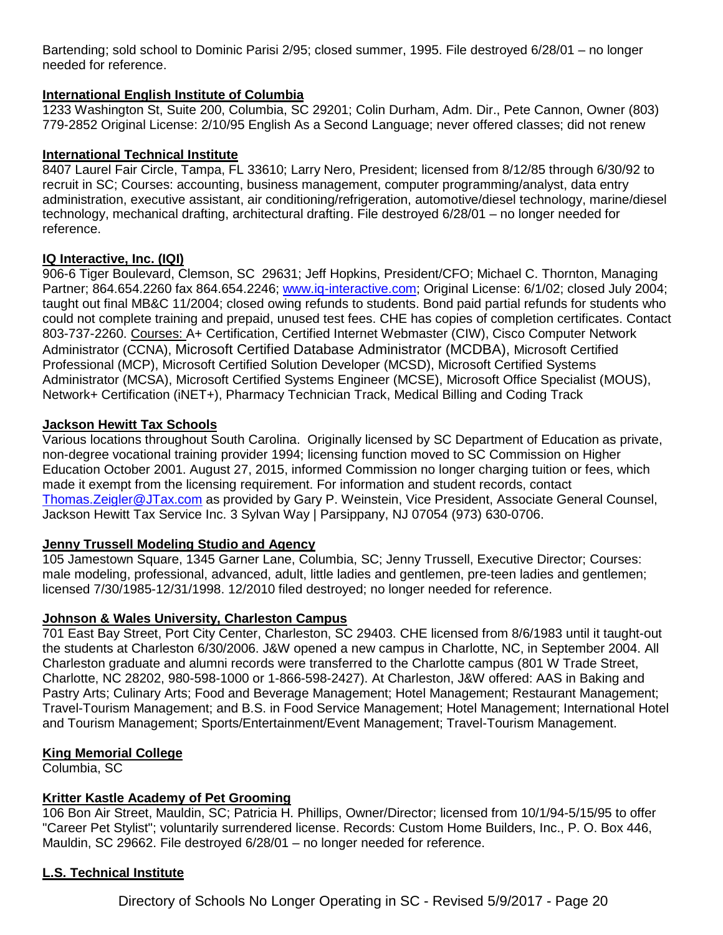Bartending; sold school to Dominic Parisi 2/95; closed summer, 1995. File destroyed 6/28/01 – no longer needed for reference.

## **International English Institute of Columbia**

1233 Washington St, Suite 200, Columbia, SC 29201; Colin Durham, Adm. Dir., Pete Cannon, Owner (803) 779-2852 Original License: 2/10/95 English As a Second Language; never offered classes; did not renew

## **International Technical Institute**

8407 Laurel Fair Circle, Tampa, FL 33610; Larry Nero, President; licensed from 8/12/85 through 6/30/92 to recruit in SC; Courses: accounting, business management, computer programming/analyst, data entry administration, executive assistant, air conditioning/refrigeration, automotive/diesel technology, marine/diesel technology, mechanical drafting, architectural drafting. File destroyed 6/28/01 – no longer needed for reference.

## **IQ Interactive, Inc. (IQI)**

906-6 Tiger Boulevard, Clemson, SC 29631; Jeff Hopkins, President/CFO; Michael C. Thornton, Managing Partner; 864.654.2260 fax 864.654.2246; [www.iq-interactive.com;](http://www.iq-interactive.com/) Original License: 6/1/02; closed July 2004; taught out final MB&C 11/2004; closed owing refunds to students. Bond paid partial refunds for students who could not complete training and prepaid, unused test fees. CHE has copies of completion certificates. Contact 803-737-2260. Courses: A+ Certification, Certified Internet Webmaster (CIW), Cisco Computer Network Administrator (CCNA), Microsoft Certified Database Administrator (MCDBA), Microsoft Certified Professional (MCP), Microsoft Certified Solution Developer (MCSD), Microsoft Certified Systems Administrator (MCSA), Microsoft Certified Systems Engineer (MCSE), Microsoft Office Specialist (MOUS), Network+ Certification (iNET+), Pharmacy Technician Track, Medical Billing and Coding Track

## **Jackson Hewitt Tax Schools**

Various locations throughout South Carolina. Originally licensed by SC Department of Education as private, non-degree vocational training provider 1994; licensing function moved to SC Commission on Higher Education October 2001. August 27, 2015, informed Commission no longer charging tuition or fees, which made it exempt from the licensing requirement. For information and student records, contact [Thomas.Zeigler@JTax.com](mailto:Thomas.Zeigler@JTax.com) as provided by Gary P. Weinstein, Vice President, Associate General Counsel, Jackson Hewitt Tax Service Inc. 3 Sylvan Way | Parsippany, NJ 07054 (973) 630-0706.

## **Jenny Trussell Modeling Studio and Agency**

105 Jamestown Square, 1345 Garner Lane, Columbia, SC; Jenny Trussell, Executive Director; Courses: male modeling, professional, advanced, adult, little ladies and gentlemen, pre-teen ladies and gentlemen; licensed 7/30/1985-12/31/1998. 12/2010 filed destroyed; no longer needed for reference.

## **Johnson & Wales University, Charleston Campus**

701 East Bay Street, Port City Center, Charleston, SC 29403. CHE licensed from 8/6/1983 until it taught-out the students at Charleston 6/30/2006. J&W opened a new campus in Charlotte, NC, in September 2004. All Charleston graduate and alumni records were transferred to the Charlotte campus (801 W Trade Street, Charlotte, NC 28202, 980-598-1000 or 1-866-598-2427). At Charleston, J&W offered: AAS in Baking and Pastry Arts; Culinary Arts; Food and Beverage Management; Hotel Management; Restaurant Management; Travel-Tourism Management; and B.S. in Food Service Management; Hotel Management; International Hotel and Tourism Management; Sports/Entertainment/Event Management; Travel-Tourism Management.

## **King Memorial College**

Columbia, SC

## **Kritter Kastle Academy of Pet Grooming**

106 Bon Air Street, Mauldin, SC; Patricia H. Phillips, Owner/Director; licensed from 10/1/94-5/15/95 to offer "Career Pet Stylist"; voluntarily surrendered license. Records: Custom Home Builders, Inc., P. O. Box 446, Mauldin, SC 29662. File destroyed 6/28/01 – no longer needed for reference.

## **L.S. Technical Institute**

Directory of Schools No Longer Operating in SC - Revised 5/9/2017 - Page 20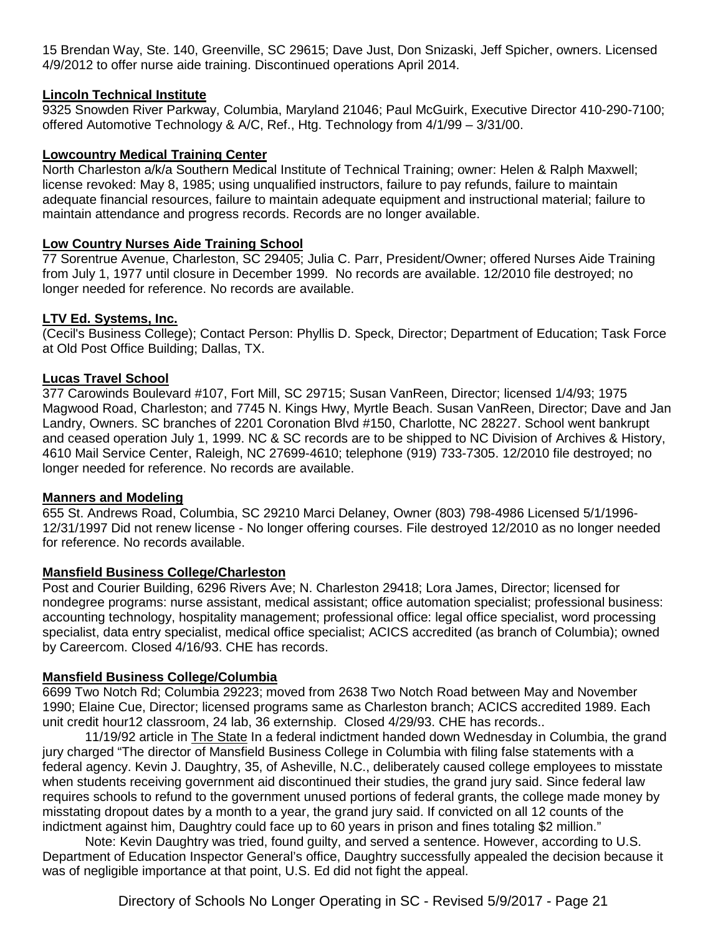15 Brendan Way, Ste. 140, Greenville, SC 29615; Dave Just, Don Snizaski, Jeff Spicher, owners. Licensed 4/9/2012 to offer nurse aide training. Discontinued operations April 2014.

## **Lincoln Technical Institute**

9325 Snowden River Parkway, Columbia, Maryland 21046; Paul McGuirk, Executive Director 410-290-7100; offered Automotive Technology & A/C, Ref., Htg. Technology from 4/1/99 – 3/31/00.

### **Lowcountry Medical Training Center**

North Charleston a/k/a Southern Medical Institute of Technical Training; owner: Helen & Ralph Maxwell; license revoked: May 8, 1985; using unqualified instructors, failure to pay refunds, failure to maintain adequate financial resources, failure to maintain adequate equipment and instructional material; failure to maintain attendance and progress records. Records are no longer available.

### **Low Country Nurses Aide Training School**

77 Sorentrue Avenue, Charleston, SC 29405; Julia C. Parr, President/Owner; offered Nurses Aide Training from July 1, 1977 until closure in December 1999. No records are available. 12/2010 file destroyed; no longer needed for reference. No records are available.

### **LTV Ed. Systems, Inc.**

(Cecil's Business College); Contact Person: Phyllis D. Speck, Director; Department of Education; Task Force at Old Post Office Building; Dallas, TX.

#### **Lucas Travel School**

377 Carowinds Boulevard #107, Fort Mill, SC 29715; Susan VanReen, Director; licensed 1/4/93; 1975 Magwood Road, Charleston; and 7745 N. Kings Hwy, Myrtle Beach. Susan VanReen, Director; Dave and Jan Landry, Owners. SC branches of 2201 Coronation Blvd #150, Charlotte, NC 28227. School went bankrupt and ceased operation July 1, 1999. NC & SC records are to be shipped to NC Division of Archives & History, 4610 Mail Service Center, Raleigh, NC 27699-4610; telephone (919) 733-7305. 12/2010 file destroyed; no longer needed for reference. No records are available.

#### **Manners and Modeling**

655 St. Andrews Road, Columbia, SC 29210 Marci Delaney, Owner (803) 798-4986 Licensed 5/1/1996- 12/31/1997 Did not renew license - No longer offering courses. File destroyed 12/2010 as no longer needed for reference. No records available.

#### **Mansfield Business College/Charleston**

Post and Courier Building, 6296 Rivers Ave; N. Charleston 29418; Lora James, Director; licensed for nondegree programs: nurse assistant, medical assistant; office automation specialist; professional business: accounting technology, hospitality management; professional office: legal office specialist, word processing specialist, data entry specialist, medical office specialist; ACICS accredited (as branch of Columbia); owned by Careercom. Closed 4/16/93. CHE has records.

#### **Mansfield Business College/Columbia**

6699 Two Notch Rd; Columbia 29223; moved from 2638 Two Notch Road between May and November 1990; Elaine Cue, Director; licensed programs same as Charleston branch; ACICS accredited 1989. Each unit credit hour12 classroom, 24 lab, 36 externship. Closed 4/29/93. CHE has records..

11/19/92 article in The State In a federal indictment handed down Wednesday in Columbia, the grand jury charged "The director of Mansfield Business College in Columbia with filing false statements with a federal agency. Kevin J. Daughtry, 35, of Asheville, N.C., deliberately caused college employees to misstate when students receiving government aid discontinued their studies, the grand jury said. Since federal law requires schools to refund to the government unused portions of federal grants, the college made money by misstating dropout dates by a month to a year, the grand jury said. If convicted on all 12 counts of the indictment against him, Daughtry could face up to 60 years in prison and fines totaling \$2 million."

Note: Kevin Daughtry was tried, found guilty, and served a sentence. However, according to U.S. Department of Education Inspector General's office, Daughtry successfully appealed the decision because it was of negligible importance at that point, U.S. Ed did not fight the appeal.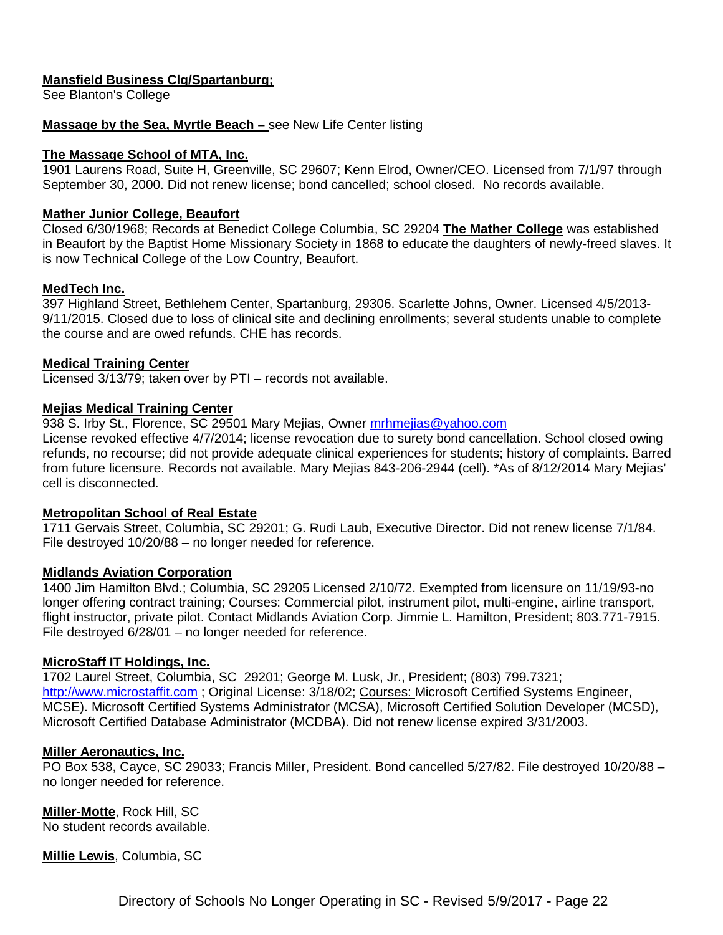## **Mansfield Business Clg/Spartanburg;**

See Blanton's College

### **Massage by the Sea, Myrtle Beach –** see New Life Center listing

#### **The Massage School of MTA, Inc.**

1901 Laurens Road, Suite H, Greenville, SC 29607; Kenn Elrod, Owner/CEO. Licensed from 7/1/97 through September 30, 2000. Did not renew license; bond cancelled; school closed. No records available.

#### **Mather Junior College, Beaufort**

Closed 6/30/1968; Records at Benedict College Columbia, SC 29204 **The Mather College** was established in Beaufort by the Baptist Home Missionary Society in 1868 to educate the daughters of newly-freed slaves. It is now Technical College of the Low Country, Beaufort.

#### **MedTech Inc.**

397 Highland Street, Bethlehem Center, Spartanburg, 29306. Scarlette Johns, Owner. Licensed 4/5/2013- 9/11/2015. Closed due to loss of clinical site and declining enrollments; several students unable to complete the course and are owed refunds. CHE has records.

### **Medical Training Center**

Licensed 3/13/79; taken over by PTI – records not available.

### **Mejias Medical Training Center**

938 S. Irby St., Florence, SC 29501 Mary Mejias, Owner [mrhmejias@yahoo.com](mailto:mrhmejias@yahoo.com)

License revoked effective 4/7/2014; license revocation due to surety bond cancellation. School closed owing refunds, no recourse; did not provide adequate clinical experiences for students; history of complaints. Barred from future licensure. Records not available. Mary Mejias 843-206-2944 (cell). \*As of 8/12/2014 Mary Mejias' cell is disconnected.

#### **Metropolitan School of Real Estate**

1711 Gervais Street, Columbia, SC 29201; G. Rudi Laub, Executive Director. Did not renew license 7/1/84. File destroyed 10/20/88 – no longer needed for reference.

#### **Midlands Aviation Corporation**

1400 Jim Hamilton Blvd.; Columbia, SC 29205 Licensed 2/10/72. Exempted from licensure on 11/19/93-no longer offering contract training; Courses: Commercial pilot, instrument pilot, multi-engine, airline transport, flight instructor, private pilot. Contact Midlands Aviation Corp. Jimmie L. Hamilton, President; 803.771-7915. File destroyed 6/28/01 – no longer needed for reference.

#### **MicroStaff IT Holdings, Inc.**

1702 Laurel Street, Columbia, SC 29201; George M. Lusk, Jr., President; (803) 799.7321; [http://www.microstaffit.com](http://www.microstaffit.com/); Original License: 3/18/02; Courses: Microsoft Certified Systems Engineer, MCSE). Microsoft Certified Systems Administrator (MCSA), Microsoft Certified Solution Developer (MCSD), Microsoft Certified Database Administrator (MCDBA). Did not renew license expired 3/31/2003.

#### **Miller Aeronautics, Inc.**

PO Box 538, Cayce, SC 29033; Francis Miller, President. Bond cancelled 5/27/82. File destroyed 10/20/88 – no longer needed for reference.

**Miller-Motte**, Rock Hill, SC No student records available.

**Millie Lewis**, Columbia, SC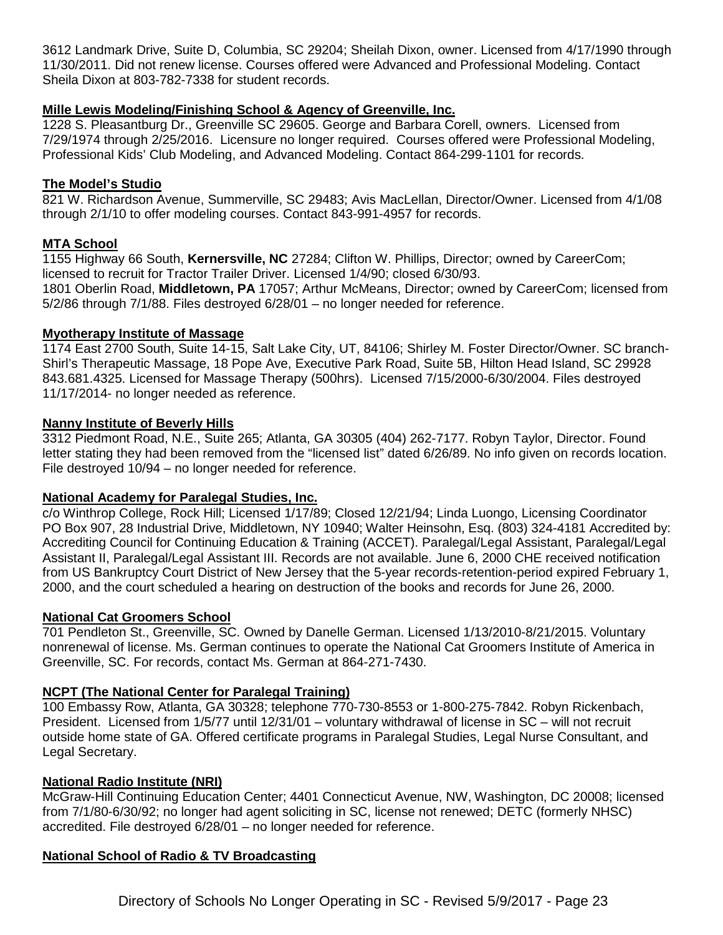3612 Landmark Drive, Suite D, Columbia, SC 29204; Sheilah Dixon, owner. Licensed from 4/17/1990 through 11/30/2011. Did not renew license. Courses offered were Advanced and Professional Modeling. Contact Sheila Dixon at 803-782-7338 for student records.

## **Mille Lewis Modeling/Finishing School & Agency of Greenville, Inc.**

1228 S. Pleasantburg Dr., Greenville SC 29605. George and Barbara Corell, owners. Licensed from 7/29/1974 through 2/25/2016. Licensure no longer required. Courses offered were Professional Modeling, Professional Kids' Club Modeling, and Advanced Modeling. Contact 864-299-1101 for records.

## **The Model's Studio**

821 W. Richardson Avenue, Summerville, SC 29483; Avis MacLellan, Director/Owner. Licensed from 4/1/08 through 2/1/10 to offer modeling courses. Contact 843-991-4957 for records.

## **MTA School**

1155 Highway 66 South, **Kernersville, NC** 27284; Clifton W. Phillips, Director; owned by CareerCom; licensed to recruit for Tractor Trailer Driver. Licensed 1/4/90; closed 6/30/93. 1801 Oberlin Road, **Middletown, PA** 17057; Arthur McMeans, Director; owned by CareerCom; licensed from 5/2/86 through 7/1/88. Files destroyed 6/28/01 – no longer needed for reference.

## **Myotherapy Institute of Massage**

1174 East 2700 South, Suite 14-15, Salt Lake City, UT, 84106; Shirley M. Foster Director/Owner. SC branch-Shirl's Therapeutic Massage, 18 Pope Ave, Executive Park Road, Suite 5B, Hilton Head Island, SC 29928 843.681.4325. Licensed for Massage Therapy (500hrs). Licensed 7/15/2000-6/30/2004. Files destroyed 11/17/2014- no longer needed as reference.

## **Nanny Institute of Beverly Hills**

3312 Piedmont Road, N.E., Suite 265; Atlanta, GA 30305 (404) 262-7177. Robyn Taylor, Director. Found letter stating they had been removed from the "licensed list" dated 6/26/89. No info given on records location. File destroyed 10/94 – no longer needed for reference.

## **National Academy for Paralegal Studies, Inc.**

c/o Winthrop College, Rock Hill; Licensed 1/17/89; Closed 12/21/94; Linda Luongo, Licensing Coordinator PO Box 907, 28 Industrial Drive, Middletown, NY 10940; Walter Heinsohn, Esq. (803) 324-4181 Accredited by: Accrediting Council for Continuing Education & Training (ACCET). Paralegal/Legal Assistant, Paralegal/Legal Assistant II, Paralegal/Legal Assistant III. Records are not available. June 6, 2000 CHE received notification from US Bankruptcy Court District of New Jersey that the 5-year records-retention-period expired February 1, 2000, and the court scheduled a hearing on destruction of the books and records for June 26, 2000.

## **National Cat Groomers School**

701 Pendleton St., Greenville, SC. Owned by Danelle German. Licensed 1/13/2010-8/21/2015. Voluntary nonrenewal of license. Ms. German continues to operate the National Cat Groomers Institute of America in Greenville, SC. For records, contact Ms. German at 864-271-7430.

## **NCPT (The National Center for Paralegal Training)**

100 Embassy Row, Atlanta, GA 30328; telephone 770-730-8553 or 1-800-275-7842. Robyn Rickenbach, President. Licensed from 1/5/77 until 12/31/01 – voluntary withdrawal of license in SC – will not recruit outside home state of GA. Offered certificate programs in Paralegal Studies, Legal Nurse Consultant, and Legal Secretary.

## **National Radio Institute (NRI)**

McGraw-Hill Continuing Education Center; 4401 Connecticut Avenue, NW, Washington, DC 20008; licensed from 7/1/80-6/30/92; no longer had agent soliciting in SC, license not renewed; DETC (formerly NHSC) accredited. File destroyed 6/28/01 – no longer needed for reference.

## **National School of Radio & TV Broadcasting**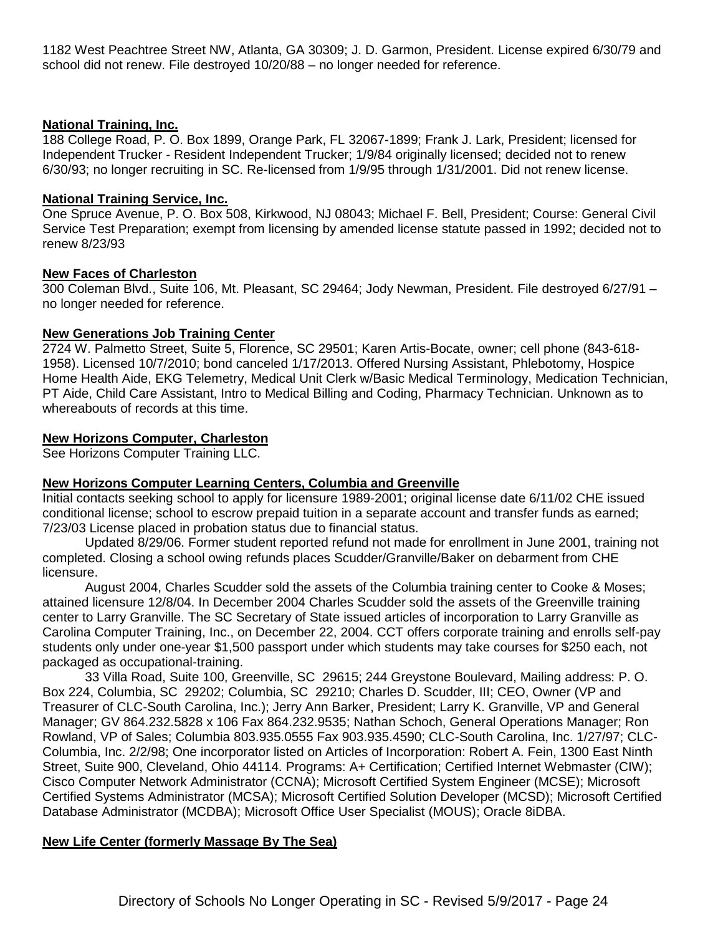1182 West Peachtree Street NW, Atlanta, GA 30309; J. D. Garmon, President. License expired 6/30/79 and school did not renew. File destroyed 10/20/88 – no longer needed for reference.

#### **National Training, Inc.**

188 College Road, P. O. Box 1899, Orange Park, FL 32067-1899; Frank J. Lark, President; licensed for Independent Trucker - Resident Independent Trucker; 1/9/84 originally licensed; decided not to renew 6/30/93; no longer recruiting in SC. Re-licensed from 1/9/95 through 1/31/2001. Did not renew license.

#### **National Training Service, Inc.**

One Spruce Avenue, P. O. Box 508, Kirkwood, NJ 08043; Michael F. Bell, President; Course: General Civil Service Test Preparation; exempt from licensing by amended license statute passed in 1992; decided not to renew 8/23/93

#### **New Faces of Charleston**

300 Coleman Blvd., Suite 106, Mt. Pleasant, SC 29464; Jody Newman, President. File destroyed 6/27/91 – no longer needed for reference.

#### **New Generations Job Training Center**

2724 W. Palmetto Street, Suite 5, Florence, SC 29501; Karen Artis-Bocate, owner; cell phone (843-618- 1958). Licensed 10/7/2010; bond canceled 1/17/2013. Offered Nursing Assistant, Phlebotomy, Hospice Home Health Aide, EKG Telemetry, Medical Unit Clerk w/Basic Medical Terminology, Medication Technician, PT Aide, Child Care Assistant, Intro to Medical Billing and Coding, Pharmacy Technician. Unknown as to whereabouts of records at this time.

#### **New Horizons Computer, Charleston**

See Horizons Computer Training LLC.

#### **New Horizons Computer Learning Centers, Columbia and Greenville**

Initial contacts seeking school to apply for licensure 1989-2001; original license date 6/11/02 CHE issued conditional license; school to escrow prepaid tuition in a separate account and transfer funds as earned; 7/23/03 License placed in probation status due to financial status.

Updated 8/29/06. Former student reported refund not made for enrollment in June 2001, training not completed. Closing a school owing refunds places Scudder/Granville/Baker on debarment from CHE licensure.

August 2004, Charles Scudder sold the assets of the Columbia training center to Cooke & Moses; attained licensure 12/8/04. In December 2004 Charles Scudder sold the assets of the Greenville training center to Larry Granville. The SC Secretary of State issued articles of incorporation to Larry Granville as Carolina Computer Training, Inc., on December 22, 2004. CCT offers corporate training and enrolls self-pay students only under one-year \$1,500 passport under which students may take courses for \$250 each, not packaged as occupational-training.

33 Villa Road, Suite 100, Greenville, SC 29615; 244 Greystone Boulevard, Mailing address: P. O. Box 224, Columbia, SC 29202; Columbia, SC 29210; Charles D. Scudder, III; CEO, Owner (VP and Treasurer of CLC-South Carolina, Inc.); Jerry Ann Barker, President; Larry K. Granville, VP and General Manager; GV 864.232.5828 x 106 Fax 864.232.9535; Nathan Schoch, General Operations Manager; Ron Rowland, VP of Sales; Columbia 803.935.0555 Fax 903.935.4590; CLC-South Carolina, Inc. 1/27/97; CLC-Columbia, Inc. 2/2/98; One incorporator listed on Articles of Incorporation: Robert A. Fein, 1300 East Ninth Street, Suite 900, Cleveland, Ohio 44114. Programs: A+ Certification; Certified Internet Webmaster (CIW); Cisco Computer Network Administrator (CCNA); Microsoft Certified System Engineer (MCSE); Microsoft Certified Systems Administrator (MCSA); Microsoft Certified Solution Developer (MCSD); Microsoft Certified Database Administrator (MCDBA); Microsoft Office User Specialist (MOUS); Oracle 8iDBA.

#### **New Life Center (formerly Massage By The Sea)**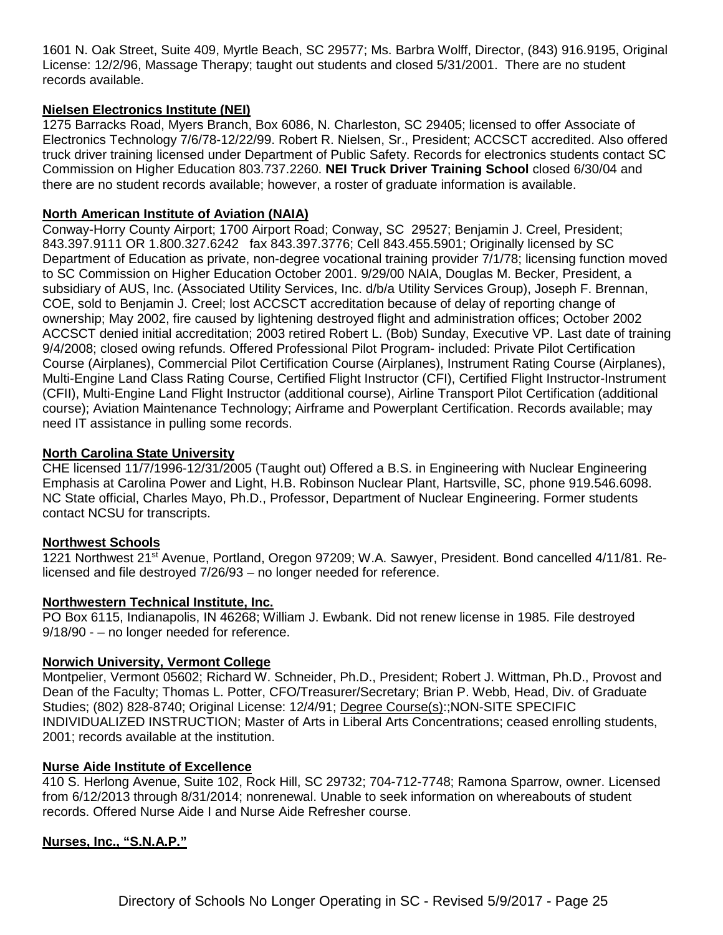1601 N. Oak Street, Suite 409, Myrtle Beach, SC 29577; Ms. Barbra Wolff, Director, (843) 916.9195, Original License: 12/2/96, Massage Therapy; taught out students and closed 5/31/2001. There are no student records available.

## **Nielsen Electronics Institute (NEI)**

1275 Barracks Road, Myers Branch, Box 6086, N. Charleston, SC 29405; licensed to offer Associate of Electronics Technology 7/6/78-12/22/99. Robert R. Nielsen, Sr., President; ACCSCT accredited. Also offered truck driver training licensed under Department of Public Safety. Records for electronics students contact SC Commission on Higher Education 803.737.2260. **NEI Truck Driver Training School** closed 6/30/04 and there are no student records available; however, a roster of graduate information is available.

#### **North American Institute of Aviation (NAIA)**

Conway-Horry County Airport; 1700 Airport Road; Conway, SC 29527; Benjamin J. Creel, President; 843.397.9111 OR 1.800.327.6242 fax 843.397.3776; Cell 843.455.5901; Originally licensed by SC Department of Education as private, non-degree vocational training provider 7/1/78; licensing function moved to SC Commission on Higher Education October 2001. 9/29/00 NAIA, Douglas M. Becker, President, a subsidiary of AUS, Inc. (Associated Utility Services, Inc. d/b/a Utility Services Group), Joseph F. Brennan, COE, sold to Benjamin J. Creel; lost ACCSCT accreditation because of delay of reporting change of ownership; May 2002, fire caused by lightening destroyed flight and administration offices; October 2002 ACCSCT denied initial accreditation; 2003 retired Robert L. (Bob) Sunday, Executive VP. Last date of training 9/4/2008; closed owing refunds. Offered Professional Pilot Program- included: Private Pilot Certification Course (Airplanes), Commercial Pilot Certification Course (Airplanes), Instrument Rating Course (Airplanes), Multi-Engine Land Class Rating Course, Certified Flight Instructor (CFI), Certified Flight Instructor-Instrument (CFII), Multi-Engine Land Flight Instructor (additional course), Airline Transport Pilot Certification (additional course); Aviation Maintenance Technology; Airframe and Powerplant Certification. Records available; may need IT assistance in pulling some records.

#### **North Carolina State University**

CHE licensed 11/7/1996-12/31/2005 (Taught out) Offered a B.S. in Engineering with Nuclear Engineering Emphasis at Carolina Power and Light, H.B. Robinson Nuclear Plant, Hartsville, SC, phone 919.546.6098. NC State official, Charles Mayo, Ph.D., Professor, Department of Nuclear Engineering. Former students contact NCSU for transcripts.

#### **Northwest Schools**

1221 Northwest 21<sup>st</sup> Avenue, Portland, Oregon 97209; W.A. Sawyer, President. Bond cancelled 4/11/81. Relicensed and file destroyed 7/26/93 – no longer needed for reference.

#### **Northwestern Technical Institute, Inc.**

PO Box 6115, Indianapolis, IN 46268; William J. Ewbank. Did not renew license in 1985. File destroyed 9/18/90 - – no longer needed for reference.

#### **Norwich University, Vermont College**

Montpelier, Vermont 05602; Richard W. Schneider, Ph.D., President; Robert J. Wittman, Ph.D., Provost and Dean of the Faculty; Thomas L. Potter, CFO/Treasurer/Secretary; Brian P. Webb, Head, Div. of Graduate Studies; (802) 828-8740; Original License: 12/4/91; Degree Course(s):;NON-SITE SPECIFIC INDIVIDUALIZED INSTRUCTION; Master of Arts in Liberal Arts Concentrations; ceased enrolling students, 2001; records available at the institution.

#### **Nurse Aide Institute of Excellence**

410 S. Herlong Avenue, Suite 102, Rock Hill, SC 29732; 704-712-7748; Ramona Sparrow, owner. Licensed from 6/12/2013 through 8/31/2014; nonrenewal. Unable to seek information on whereabouts of student records. Offered Nurse Aide I and Nurse Aide Refresher course.

#### **Nurses, Inc., "S.N.A.P."**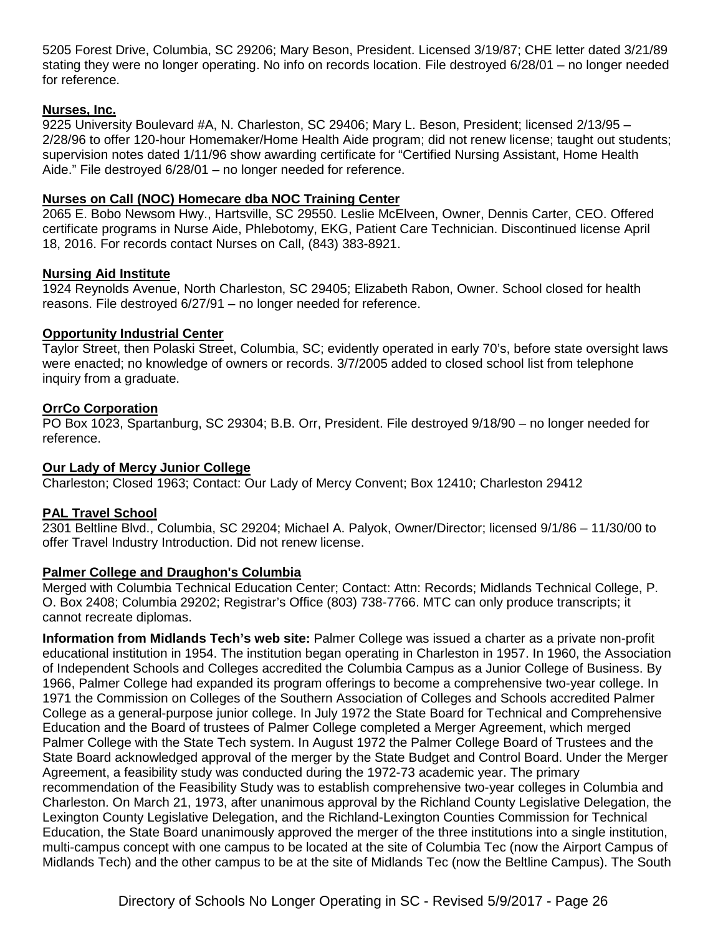5205 Forest Drive, Columbia, SC 29206; Mary Beson, President. Licensed 3/19/87; CHE letter dated 3/21/89 stating they were no longer operating. No info on records location. File destroyed 6/28/01 – no longer needed for reference.

## **Nurses, Inc.**

9225 University Boulevard #A, N. Charleston, SC 29406; Mary L. Beson, President; licensed 2/13/95 – 2/28/96 to offer 120-hour Homemaker/Home Health Aide program; did not renew license; taught out students; supervision notes dated 1/11/96 show awarding certificate for "Certified Nursing Assistant, Home Health Aide." File destroyed 6/28/01 – no longer needed for reference.

## **Nurses on Call (NOC) Homecare dba NOC Training Center**

2065 E. Bobo Newsom Hwy., Hartsville, SC 29550. Leslie McElveen, Owner, Dennis Carter, CEO. Offered certificate programs in Nurse Aide, Phlebotomy, EKG, Patient Care Technician. Discontinued license April 18, 2016. For records contact Nurses on Call, (843) 383-8921.

## **Nursing Aid Institute**

1924 Reynolds Avenue, North Charleston, SC 29405; Elizabeth Rabon, Owner. School closed for health reasons. File destroyed 6/27/91 – no longer needed for reference.

## **Opportunity Industrial Center**

Taylor Street, then Polaski Street, Columbia, SC; evidently operated in early 70's, before state oversight laws were enacted; no knowledge of owners or records. 3/7/2005 added to closed school list from telephone inquiry from a graduate.

## **OrrCo Corporation**

PO Box 1023, Spartanburg, SC 29304; B.B. Orr, President. File destroyed 9/18/90 – no longer needed for reference.

## **Our Lady of Mercy Junior College**

Charleston; Closed 1963; Contact: Our Lady of Mercy Convent; Box 12410; Charleston 29412

## **PAL Travel School**

2301 Beltline Blvd., Columbia, SC 29204; Michael A. Palyok, Owner/Director; licensed 9/1/86 – 11/30/00 to offer Travel Industry Introduction. Did not renew license.

## **Palmer College and Draughon's Columbia**

Merged with Columbia Technical Education Center; Contact: Attn: Records; Midlands Technical College, P. O. Box 2408; Columbia 29202; Registrar's Office (803) 738-7766. MTC can only produce transcripts; it cannot recreate diplomas.

**Information from Midlands Tech's web site:** Palmer College was issued a charter as a private non-profit educational institution in 1954. The institution began operating in Charleston in 1957. In 1960, the Association of Independent Schools and Colleges accredited the Columbia Campus as a Junior College of Business. By 1966, Palmer College had expanded its program offerings to become a comprehensive two-year college. In 1971 the Commission on Colleges of the Southern Association of Colleges and Schools accredited Palmer College as a general-purpose junior college. In July 1972 the State Board for Technical and Comprehensive Education and the Board of trustees of Palmer College completed a Merger Agreement, which merged Palmer College with the State Tech system. In August 1972 the Palmer College Board of Trustees and the State Board acknowledged approval of the merger by the State Budget and Control Board. Under the Merger Agreement, a feasibility study was conducted during the 1972-73 academic year. The primary recommendation of the Feasibility Study was to establish comprehensive two-year colleges in Columbia and Charleston. On March 21, 1973, after unanimous approval by the Richland County Legislative Delegation, the Lexington County Legislative Delegation, and the Richland-Lexington Counties Commission for Technical Education, the State Board unanimously approved the merger of the three institutions into a single institution, multi-campus concept with one campus to be located at the site of Columbia Tec (now the Airport Campus of Midlands Tech) and the other campus to be at the site of Midlands Tec (now the Beltline Campus). The South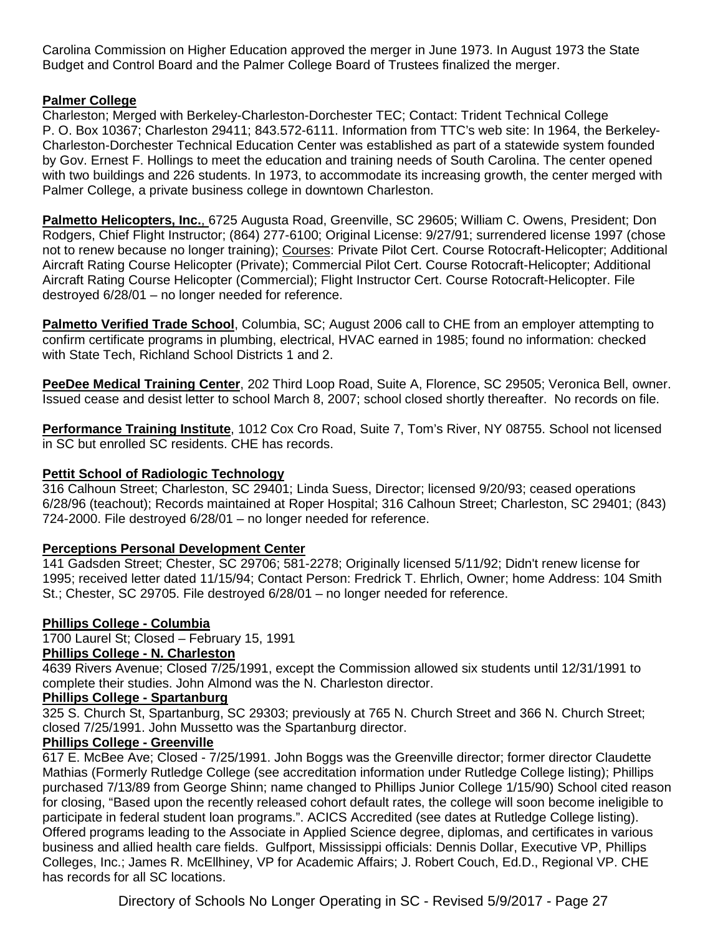Carolina Commission on Higher Education approved the merger in June 1973. In August 1973 the State Budget and Control Board and the Palmer College Board of Trustees finalized the merger.

## **Palmer College**

Charleston; Merged with Berkeley-Charleston-Dorchester TEC; Contact: Trident Technical College P. O. Box 10367; Charleston 29411; 843.572-6111. Information from TTC's web site: In 1964, the Berkeley-Charleston-Dorchester Technical Education Center was established as part of a statewide system founded by Gov. Ernest F. Hollings to meet the education and training needs of South Carolina. The center opened with two buildings and 226 students. In 1973, to accommodate its increasing growth, the center merged with Palmer College, a private business college in downtown Charleston.

**Palmetto Helicopters, Inc.**, 6725 Augusta Road, Greenville, SC 29605; William C. Owens, President; Don Rodgers, Chief Flight Instructor; (864) 277-6100; Original License: 9/27/91; surrendered license 1997 (chose not to renew because no longer training); Courses: Private Pilot Cert. Course Rotocraft-Helicopter; Additional Aircraft Rating Course Helicopter (Private); Commercial Pilot Cert. Course Rotocraft-Helicopter; Additional Aircraft Rating Course Helicopter (Commercial); Flight Instructor Cert. Course Rotocraft-Helicopter. File destroyed 6/28/01 – no longer needed for reference.

**Palmetto Verified Trade School**, Columbia, SC; August 2006 call to CHE from an employer attempting to confirm certificate programs in plumbing, electrical, HVAC earned in 1985; found no information: checked with State Tech, Richland School Districts 1 and 2.

**PeeDee Medical Training Center**, 202 Third Loop Road, Suite A, Florence, SC 29505; Veronica Bell, owner. Issued cease and desist letter to school March 8, 2007; school closed shortly thereafter. No records on file.

**Performance Training Institute**, 1012 Cox Cro Road, Suite 7, Tom's River, NY 08755. School not licensed in SC but enrolled SC residents. CHE has records.

## **Pettit School of Radiologic Technology**

316 Calhoun Street; Charleston, SC 29401; Linda Suess, Director; licensed 9/20/93; ceased operations 6/28/96 (teachout); Records maintained at Roper Hospital; 316 Calhoun Street; Charleston, SC 29401; (843) 724-2000. File destroyed 6/28/01 – no longer needed for reference.

## **Perceptions Personal Development Center**

141 Gadsden Street; Chester, SC 29706; 581-2278; Originally licensed 5/11/92; Didn't renew license for 1995; received letter dated 11/15/94; Contact Person: Fredrick T. Ehrlich, Owner; home Address: 104 Smith St.; Chester, SC 29705. File destroyed 6/28/01 – no longer needed for reference.

## **Phillips College - Columbia**

1700 Laurel St; Closed – February 15, 1991 **Phillips College - N. Charleston**

4639 Rivers Avenue; Closed 7/25/1991, except the Commission allowed six students until 12/31/1991 to complete their studies. John Almond was the N. Charleston director.

## **Phillips College - Spartanburg**

325 S. Church St, Spartanburg, SC 29303; previously at 765 N. Church Street and 366 N. Church Street; closed 7/25/1991. John Mussetto was the Spartanburg director.

## **Phillips College - Greenville**

617 E. McBee Ave; Closed - 7/25/1991. John Boggs was the Greenville director; former director Claudette Mathias (Formerly Rutledge College (see accreditation information under Rutledge College listing); Phillips purchased 7/13/89 from George Shinn; name changed to Phillips Junior College 1/15/90) School cited reason for closing, "Based upon the recently released cohort default rates, the college will soon become ineligible to participate in federal student loan programs.". ACICS Accredited (see dates at Rutledge College listing). Offered programs leading to the Associate in Applied Science degree, diplomas, and certificates in various business and allied health care fields. Gulfport, Mississippi officials: Dennis Dollar, Executive VP, Phillips Colleges, Inc.; James R. McEllhiney, VP for Academic Affairs; J. Robert Couch, Ed.D., Regional VP. CHE has records for all SC locations.

Directory of Schools No Longer Operating in SC - Revised 5/9/2017 - Page 27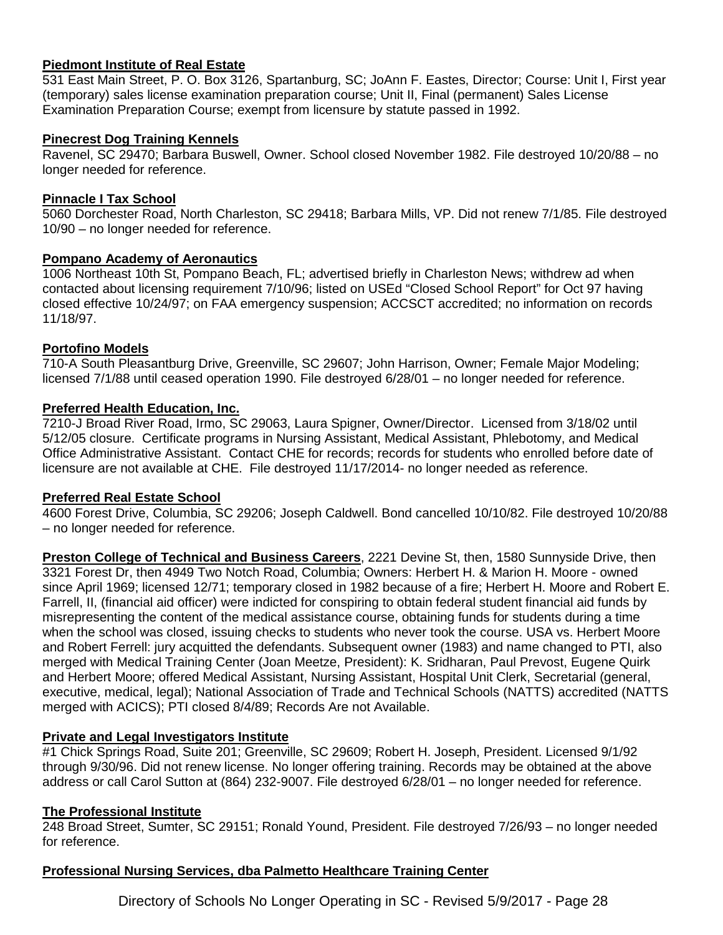## **Piedmont Institute of Real Estate**

531 East Main Street, P. O. Box 3126, Spartanburg, SC; JoAnn F. Eastes, Director; Course: Unit I, First year (temporary) sales license examination preparation course; Unit II, Final (permanent) Sales License Examination Preparation Course; exempt from licensure by statute passed in 1992.

#### **Pinecrest Dog Training Kennels**

Ravenel, SC 29470; Barbara Buswell, Owner. School closed November 1982. File destroyed 10/20/88 – no longer needed for reference.

### **Pinnacle I Tax School**

5060 Dorchester Road, North Charleston, SC 29418; Barbara Mills, VP. Did not renew 7/1/85. File destroyed 10/90 – no longer needed for reference.

### **Pompano Academy of Aeronautics**

1006 Northeast 10th St, Pompano Beach, FL; advertised briefly in Charleston News; withdrew ad when contacted about licensing requirement 7/10/96; listed on USEd "Closed School Report" for Oct 97 having closed effective 10/24/97; on FAA emergency suspension; ACCSCT accredited; no information on records 11/18/97.

### **Portofino Models**

710-A South Pleasantburg Drive, Greenville, SC 29607; John Harrison, Owner; Female Major Modeling; licensed 7/1/88 until ceased operation 1990. File destroyed 6/28/01 – no longer needed for reference.

### **Preferred Health Education, Inc.**

7210-J Broad River Road, Irmo, SC 29063, Laura Spigner, Owner/Director. Licensed from 3/18/02 until 5/12/05 closure. Certificate programs in Nursing Assistant, Medical Assistant, Phlebotomy, and Medical Office Administrative Assistant. Contact CHE for records; records for students who enrolled before date of licensure are not available at CHE. File destroyed 11/17/2014- no longer needed as reference.

#### **Preferred Real Estate School**

4600 Forest Drive, Columbia, SC 29206; Joseph Caldwell. Bond cancelled 10/10/82. File destroyed 10/20/88 – no longer needed for reference.

**Preston College of Technical and Business Careers**, 2221 Devine St, then, 1580 Sunnyside Drive, then 3321 Forest Dr, then 4949 Two Notch Road, Columbia; Owners: Herbert H. & Marion H. Moore - owned since April 1969; licensed 12/71; temporary closed in 1982 because of a fire; Herbert H. Moore and Robert E. Farrell, II, (financial aid officer) were indicted for conspiring to obtain federal student financial aid funds by misrepresenting the content of the medical assistance course, obtaining funds for students during a time when the school was closed, issuing checks to students who never took the course. USA vs. Herbert Moore and Robert Ferrell: jury acquitted the defendants. Subsequent owner (1983) and name changed to PTI, also merged with Medical Training Center (Joan Meetze, President): K. Sridharan, Paul Prevost, Eugene Quirk and Herbert Moore; offered Medical Assistant, Nursing Assistant, Hospital Unit Clerk, Secretarial (general, executive, medical, legal); National Association of Trade and Technical Schools (NATTS) accredited (NATTS merged with ACICS); PTI closed 8/4/89; Records Are not Available.

## **Private and Legal Investigators Institute**

#1 Chick Springs Road, Suite 201; Greenville, SC 29609; Robert H. Joseph, President. Licensed 9/1/92 through 9/30/96. Did not renew license. No longer offering training. Records may be obtained at the above address or call Carol Sutton at (864) 232-9007. File destroyed 6/28/01 – no longer needed for reference.

#### **The Professional Institute**

248 Broad Street, Sumter, SC 29151; Ronald Yound, President. File destroyed 7/26/93 – no longer needed for reference.

#### **Professional Nursing Services, dba Palmetto Healthcare Training Center**

Directory of Schools No Longer Operating in SC - Revised 5/9/2017 - Page 28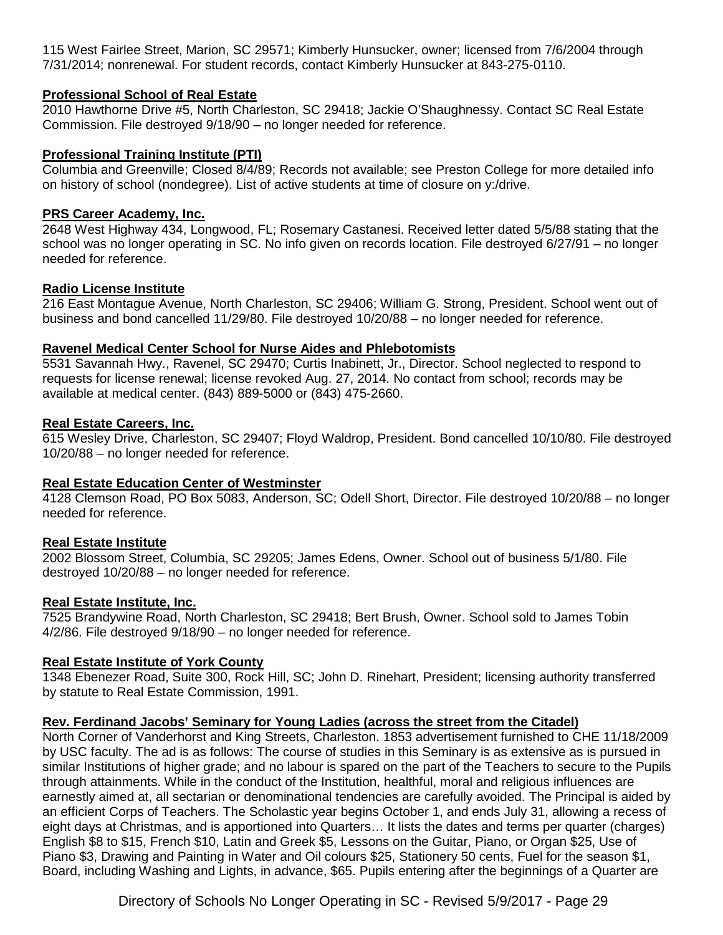115 West Fairlee Street, Marion, SC 29571; Kimberly Hunsucker, owner; licensed from 7/6/2004 through 7/31/2014; nonrenewal. For student records, contact Kimberly Hunsucker at 843-275-0110.

## **Professional School of Real Estate**

2010 Hawthorne Drive #5, North Charleston, SC 29418; Jackie O'Shaughnessy. Contact SC Real Estate Commission. File destroyed 9/18/90 – no longer needed for reference.

## **Professional Training Institute (PTI)**

Columbia and Greenville; Closed 8/4/89; Records not available; see Preston College for more detailed info on history of school (nondegree). List of active students at time of closure on y:/drive.

## **PRS Career Academy, Inc.**

2648 West Highway 434, Longwood, FL; Rosemary Castanesi. Received letter dated 5/5/88 stating that the school was no longer operating in SC. No info given on records location. File destroyed 6/27/91 – no longer needed for reference.

### **Radio License Institute**

216 East Montague Avenue, North Charleston, SC 29406; William G. Strong, President. School went out of business and bond cancelled 11/29/80. File destroyed 10/20/88 – no longer needed for reference.

#### **Ravenel Medical Center School for Nurse Aides and Phlebotomists**

5531 Savannah Hwy., Ravenel, SC 29470; Curtis Inabinett, Jr., Director. School neglected to respond to requests for license renewal; license revoked Aug. 27, 2014. No contact from school; records may be available at medical center. (843) 889-5000 or (843) 475-2660.

### **Real Estate Careers, Inc.**

615 Wesley Drive, Charleston, SC 29407; Floyd Waldrop, President. Bond cancelled 10/10/80. File destroyed 10/20/88 – no longer needed for reference.

## **Real Estate Education Center of Westminster**

4128 Clemson Road, PO Box 5083, Anderson, SC; Odell Short, Director. File destroyed 10/20/88 – no longer needed for reference.

#### **Real Estate Institute**

2002 Blossom Street, Columbia, SC 29205; James Edens, Owner. School out of business 5/1/80. File destroyed 10/20/88 – no longer needed for reference.

#### **Real Estate Institute, Inc.**

7525 Brandywine Road, North Charleston, SC 29418; Bert Brush, Owner. School sold to James Tobin 4/2/86. File destroyed 9/18/90 – no longer needed for reference.

#### **Real Estate Institute of York County**

1348 Ebenezer Road, Suite 300, Rock Hill, SC; John D. Rinehart, President; licensing authority transferred by statute to Real Estate Commission, 1991.

## **Rev. Ferdinand Jacobs' Seminary for Young Ladies (across the street from the Citadel)**

North Corner of Vanderhorst and King Streets, Charleston. 1853 advertisement furnished to CHE 11/18/2009 by USC faculty. The ad is as follows: The course of studies in this Seminary is as extensive as is pursued in similar Institutions of higher grade; and no labour is spared on the part of the Teachers to secure to the Pupils through attainments. While in the conduct of the Institution, healthful, moral and religious influences are earnestly aimed at, all sectarian or denominational tendencies are carefully avoided. The Principal is aided by an efficient Corps of Teachers. The Scholastic year begins October 1, and ends July 31, allowing a recess of eight days at Christmas, and is apportioned into Quarters… It lists the dates and terms per quarter (charges) English \$8 to \$15, French \$10, Latin and Greek \$5, Lessons on the Guitar, Piano, or Organ \$25, Use of Piano \$3, Drawing and Painting in Water and Oil colours \$25, Stationery 50 cents, Fuel for the season \$1, Board, including Washing and Lights, in advance, \$65. Pupils entering after the beginnings of a Quarter are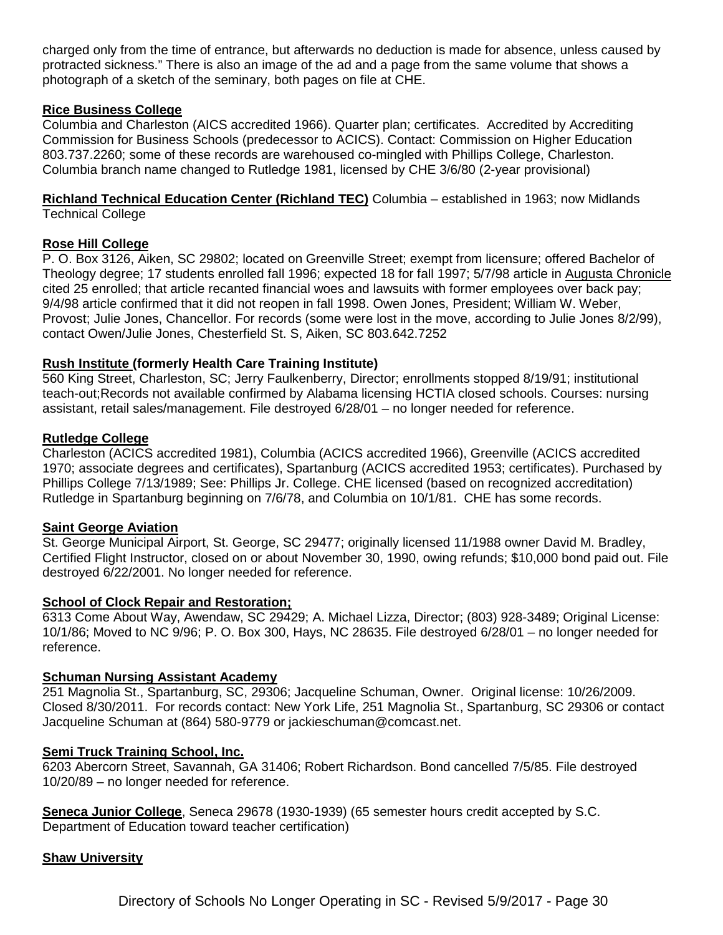charged only from the time of entrance, but afterwards no deduction is made for absence, unless caused by protracted sickness." There is also an image of the ad and a page from the same volume that shows a photograph of a sketch of the seminary, both pages on file at CHE.

### **Rice Business College**

Columbia and Charleston (AICS accredited 1966). Quarter plan; certificates. Accredited by Accrediting Commission for Business Schools (predecessor to ACICS). Contact: Commission on Higher Education 803.737.2260; some of these records are warehoused co-mingled with Phillips College, Charleston. Columbia branch name changed to Rutledge 1981, licensed by CHE 3/6/80 (2-year provisional)

**Richland Technical Education Center (Richland TEC)** Columbia – established in 1963; now Midlands Technical College

#### **Rose Hill College**

P. O. Box 3126, Aiken, SC 29802; located on Greenville Street; exempt from licensure; offered Bachelor of Theology degree; 17 students enrolled fall 1996; expected 18 for fall 1997; 5/7/98 article in Augusta Chronicle cited 25 enrolled; that article recanted financial woes and lawsuits with former employees over back pay; 9/4/98 article confirmed that it did not reopen in fall 1998. Owen Jones, President; William W. Weber, Provost; Julie Jones, Chancellor. For records (some were lost in the move, according to Julie Jones 8/2/99), contact Owen/Julie Jones, Chesterfield St. S, Aiken, SC 803.642.7252

#### **Rush Institute (formerly Health Care Training Institute)**

560 King Street, Charleston, SC; Jerry Faulkenberry, Director; enrollments stopped 8/19/91; institutional teach-out;Records not available confirmed by Alabama licensing HCTIA closed schools. Courses: nursing assistant, retail sales/management. File destroyed 6/28/01 – no longer needed for reference.

#### **Rutledge College**

Charleston (ACICS accredited 1981), Columbia (ACICS accredited 1966), Greenville (ACICS accredited 1970; associate degrees and certificates), Spartanburg (ACICS accredited 1953; certificates). Purchased by Phillips College 7/13/1989; See: Phillips Jr. College. CHE licensed (based on recognized accreditation) Rutledge in Spartanburg beginning on 7/6/78, and Columbia on 10/1/81. CHE has some records.

#### **Saint George Aviation**

St. George Municipal Airport, St. George, SC 29477; originally licensed 11/1988 owner David M. Bradley, Certified Flight Instructor, closed on or about November 30, 1990, owing refunds; \$10,000 bond paid out. File destroyed 6/22/2001. No longer needed for reference.

#### **School of Clock Repair and Restoration;**

6313 Come About Way, Awendaw, SC 29429; A. Michael Lizza, Director; (803) 928-3489; Original License: 10/1/86; Moved to NC 9/96; P. O. Box 300, Hays, NC 28635. File destroyed 6/28/01 – no longer needed for reference.

#### **Schuman Nursing Assistant Academy**

251 Magnolia St., Spartanburg, SC, 29306; Jacqueline Schuman, Owner. Original license: 10/26/2009. Closed 8/30/2011. For records contact: New York Life, 251 Magnolia St., Spartanburg, SC 29306 or contact Jacqueline Schuman at (864) 580-9779 or jackieschuman@comcast.net.

#### **Semi Truck Training School, Inc.**

6203 Abercorn Street, Savannah, GA 31406; Robert Richardson. Bond cancelled 7/5/85. File destroyed 10/20/89 – no longer needed for reference.

**Seneca Junior College**, Seneca 29678 (1930-1939) (65 semester hours credit accepted by S.C. Department of Education toward teacher certification)

#### **Shaw University**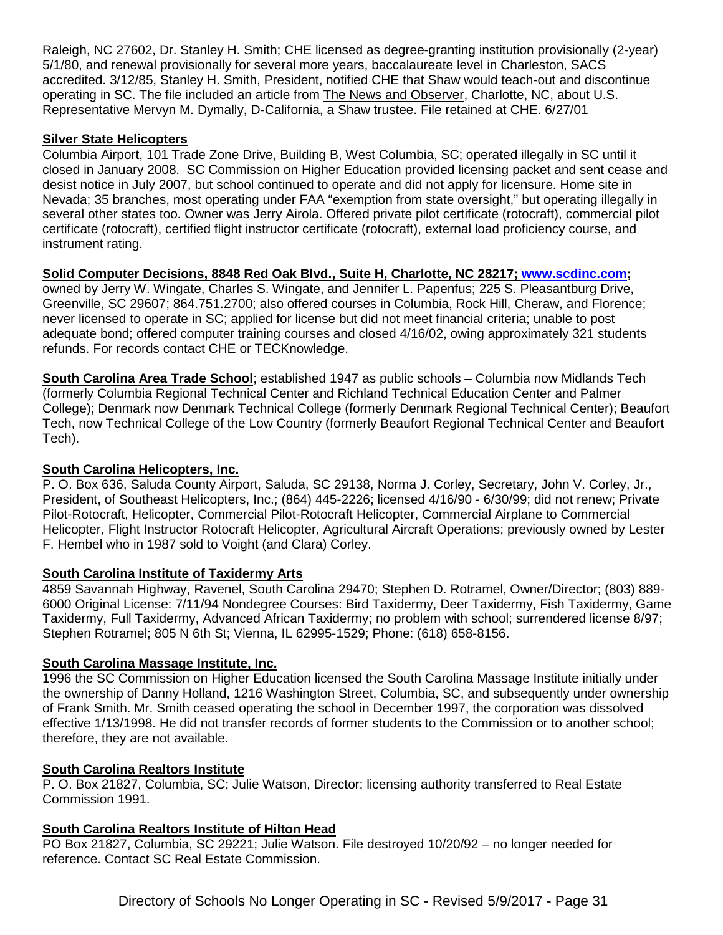Raleigh, NC 27602, Dr. Stanley H. Smith; CHE licensed as degree-granting institution provisionally (2-year) 5/1/80, and renewal provisionally for several more years, baccalaureate level in Charleston, SACS accredited. 3/12/85, Stanley H. Smith, President, notified CHE that Shaw would teach-out and discontinue operating in SC. The file included an article from The News and Observer, Charlotte, NC, about U.S. Representative Mervyn M. Dymally, D-California, a Shaw trustee. File retained at CHE. 6/27/01

## **Silver State Helicopters**

Columbia Airport, 101 Trade Zone Drive, Building B, West Columbia, SC; operated illegally in SC until it closed in January 2008. SC Commission on Higher Education provided licensing packet and sent cease and desist notice in July 2007, but school continued to operate and did not apply for licensure. Home site in Nevada; 35 branches, most operating under FAA "exemption from state oversight," but operating illegally in several other states too. Owner was Jerry Airola. Offered private pilot certificate (rotocraft), commercial pilot certificate (rotocraft), certified flight instructor certificate (rotocraft), external load proficiency course, and instrument rating.

## **Solid Computer Decisions, 8848 Red Oak Blvd., Suite H, Charlotte, NC 28217; [www.scdinc.com;](http://www.scdinc.com/)**

owned by Jerry W. Wingate, Charles S. Wingate, and Jennifer L. Papenfus; 225 S. Pleasantburg Drive, Greenville, SC 29607; 864.751.2700; also offered courses in Columbia, Rock Hill, Cheraw, and Florence; never licensed to operate in SC; applied for license but did not meet financial criteria; unable to post adequate bond; offered computer training courses and closed 4/16/02, owing approximately 321 students refunds. For records contact CHE or TECKnowledge.

**South Carolina Area Trade School**; established 1947 as public schools – Columbia now Midlands Tech (formerly Columbia Regional Technical Center and Richland Technical Education Center and Palmer College); Denmark now Denmark Technical College (formerly Denmark Regional Technical Center); Beaufort Tech, now Technical College of the Low Country (formerly Beaufort Regional Technical Center and Beaufort Tech).

## **South Carolina Helicopters, Inc.**

P. O. Box 636, Saluda County Airport, Saluda, SC 29138, Norma J. Corley, Secretary, John V. Corley, Jr., President, of Southeast Helicopters, Inc.; (864) 445-2226; licensed 4/16/90 - 6/30/99; did not renew; Private Pilot-Rotocraft, Helicopter, Commercial Pilot-Rotocraft Helicopter, Commercial Airplane to Commercial Helicopter, Flight Instructor Rotocraft Helicopter, Agricultural Aircraft Operations; previously owned by Lester F. Hembel who in 1987 sold to Voight (and Clara) Corley.

## **South Carolina Institute of Taxidermy Arts**

4859 Savannah Highway, Ravenel, South Carolina 29470; Stephen D. Rotramel, Owner/Director; (803) 889- 6000 Original License: 7/11/94 Nondegree Courses: Bird Taxidermy, Deer Taxidermy, Fish Taxidermy, Game Taxidermy, Full Taxidermy, Advanced African Taxidermy; no problem with school; surrendered license 8/97; Stephen Rotramel; 805 N 6th St; Vienna, IL 62995-1529; Phone: (618) 658-8156.

## **South Carolina Massage Institute, Inc.**

1996 the SC Commission on Higher Education licensed the South Carolina Massage Institute initially under the ownership of Danny Holland, 1216 Washington Street, Columbia, SC, and subsequently under ownership of Frank Smith. Mr. Smith ceased operating the school in December 1997, the corporation was dissolved effective 1/13/1998. He did not transfer records of former students to the Commission or to another school; therefore, they are not available.

## **South Carolina Realtors Institute**

P. O. Box 21827, Columbia, SC; Julie Watson, Director; licensing authority transferred to Real Estate Commission 1991.

## **South Carolina Realtors Institute of Hilton Head**

PO Box 21827, Columbia, SC 29221; Julie Watson. File destroyed 10/20/92 – no longer needed for reference. Contact SC Real Estate Commission.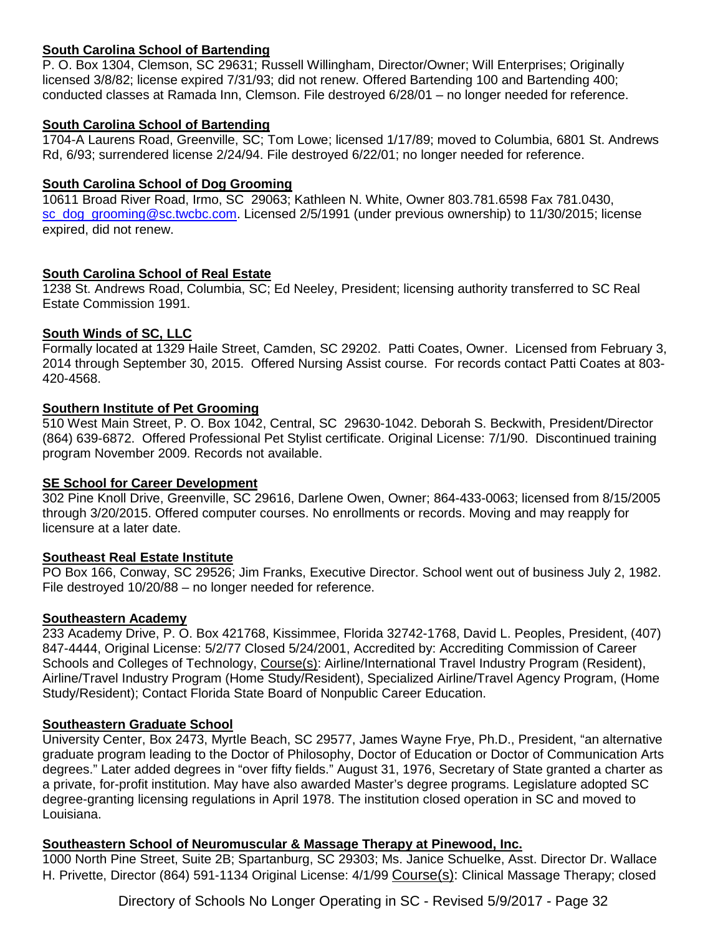## **South Carolina School of Bartending**

P. O. Box 1304, Clemson, SC 29631; Russell Willingham, Director/Owner; Will Enterprises; Originally licensed 3/8/82; license expired 7/31/93; did not renew. Offered Bartending 100 and Bartending 400; conducted classes at Ramada Inn, Clemson. File destroyed 6/28/01 – no longer needed for reference.

## **South Carolina School of Bartending**

1704-A Laurens Road, Greenville, SC; Tom Lowe; licensed 1/17/89; moved to Columbia, 6801 St. Andrews Rd, 6/93; surrendered license 2/24/94. File destroyed 6/22/01; no longer needed for reference.

### **South Carolina School of Dog Grooming**

10611 Broad River Road, Irmo, SC 29063; Kathleen N. White, Owner 803.781.6598 Fax 781.0430, [sc\\_dog\\_grooming@sc.twcbc.com.](mailto:sc_dog_grooming@sc.twcbc.com) Licensed 2/5/1991 (under previous ownership) to 11/30/2015; license expired, did not renew.

### **South Carolina School of Real Estate**

1238 St. Andrews Road, Columbia, SC; Ed Neeley, President; licensing authority transferred to SC Real Estate Commission 1991.

### **South Winds of SC, LLC**

Formally located at 1329 Haile Street, Camden, SC 29202. Patti Coates, Owner. Licensed from February 3, 2014 through September 30, 2015. Offered Nursing Assist course. For records contact Patti Coates at 803- 420-4568.

### **Southern Institute of Pet Grooming**

510 West Main Street, P. O. Box 1042, Central, SC 29630-1042. Deborah S. Beckwith, President/Director (864) 639-6872. Offered Professional Pet Stylist certificate. Original License: 7/1/90. Discontinued training program November 2009. Records not available.

#### **SE School for Career Development**

302 Pine Knoll Drive, Greenville, SC 29616, Darlene Owen, Owner; 864-433-0063; licensed from 8/15/2005 through 3/20/2015. Offered computer courses. No enrollments or records. Moving and may reapply for licensure at a later date.

## **Southeast Real Estate Institute**

PO Box 166, Conway, SC 29526; Jim Franks, Executive Director. School went out of business July 2, 1982. File destroyed 10/20/88 – no longer needed for reference.

#### **Southeastern Academy**

233 Academy Drive, P. O. Box 421768, Kissimmee, Florida 32742-1768, David L. Peoples, President, (407) 847-4444, Original License: 5/2/77 Closed 5/24/2001, Accredited by: Accrediting Commission of Career Schools and Colleges of Technology, Course(s): Airline/International Travel Industry Program (Resident), Airline/Travel Industry Program (Home Study/Resident), Specialized Airline/Travel Agency Program, (Home Study/Resident); Contact Florida State Board of Nonpublic Career Education.

## **Southeastern Graduate School**

University Center, Box 2473, Myrtle Beach, SC 29577, James Wayne Frye, Ph.D., President, "an alternative graduate program leading to the Doctor of Philosophy, Doctor of Education or Doctor of Communication Arts degrees." Later added degrees in "over fifty fields." August 31, 1976, Secretary of State granted a charter as a private, for-profit institution. May have also awarded Master's degree programs. Legislature adopted SC degree-granting licensing regulations in April 1978. The institution closed operation in SC and moved to Louisiana.

## **Southeastern School of Neuromuscular & Massage Therapy at Pinewood, Inc.**

1000 North Pine Street, Suite 2B; Spartanburg, SC 29303; Ms. Janice Schuelke, Asst. Director Dr. Wallace H. Privette, Director (864) 591-1134 Original License: 4/1/99 Course(s): Clinical Massage Therapy; closed

Directory of Schools No Longer Operating in SC - Revised 5/9/2017 - Page 32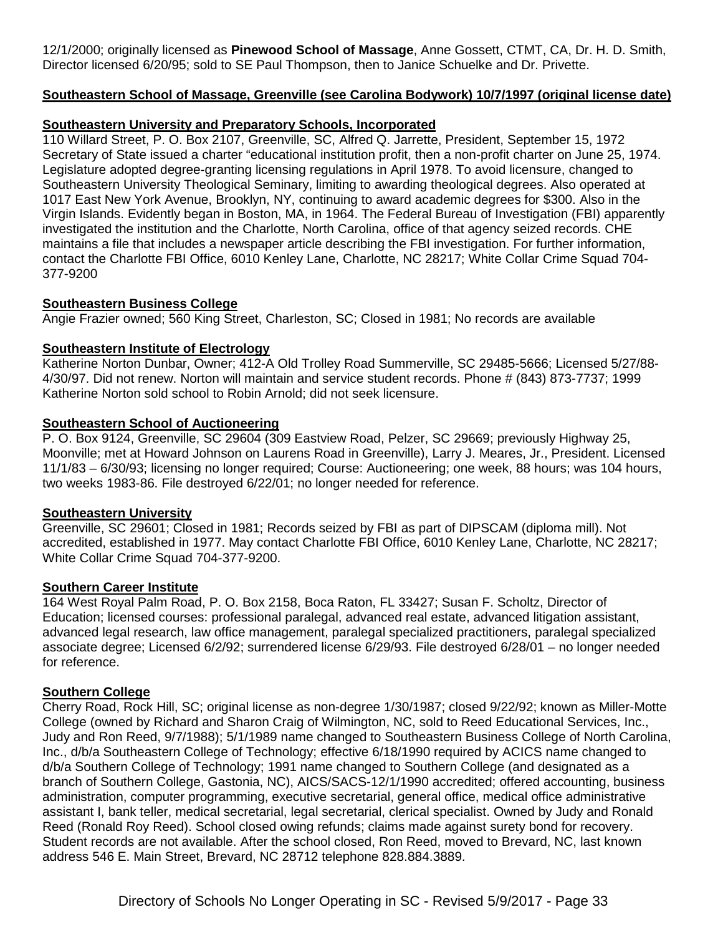12/1/2000; originally licensed as **Pinewood School of Massage**, Anne Gossett, CTMT, CA, Dr. H. D. Smith, Director licensed 6/20/95; sold to SE Paul Thompson, then to Janice Schuelke and Dr. Privette.

## **Southeastern School of Massage, Greenville (see Carolina Bodywork) 10/7/1997 (original license date)**

## **Southeastern University and Preparatory Schools, Incorporated**

110 Willard Street, P. O. Box 2107, Greenville, SC, Alfred Q. Jarrette, President, September 15, 1972 Secretary of State issued a charter "educational institution profit, then a non-profit charter on June 25, 1974. Legislature adopted degree-granting licensing regulations in April 1978. To avoid licensure, changed to Southeastern University Theological Seminary, limiting to awarding theological degrees. Also operated at 1017 East New York Avenue, Brooklyn, NY, continuing to award academic degrees for \$300. Also in the Virgin Islands. Evidently began in Boston, MA, in 1964. The Federal Bureau of Investigation (FBI) apparently investigated the institution and the Charlotte, North Carolina, office of that agency seized records. CHE maintains a file that includes a newspaper article describing the FBI investigation. For further information, contact the Charlotte FBI Office, 6010 Kenley Lane, Charlotte, NC 28217; White Collar Crime Squad 704- 377-9200

## **Southeastern Business College**

Angie Frazier owned; 560 King Street, Charleston, SC; Closed in 1981; No records are available

## **Southeastern Institute of Electrology**

Katherine Norton Dunbar, Owner; 412-A Old Trolley Road Summerville, SC 29485-5666; Licensed 5/27/88- 4/30/97. Did not renew. Norton will maintain and service student records. Phone # (843) 873-7737; 1999 Katherine Norton sold school to Robin Arnold; did not seek licensure.

## **Southeastern School of Auctioneering**

P. O. Box 9124, Greenville, SC 29604 (309 Eastview Road, Pelzer, SC 29669; previously Highway 25, Moonville; met at Howard Johnson on Laurens Road in Greenville), Larry J. Meares, Jr., President. Licensed 11/1/83 – 6/30/93; licensing no longer required; Course: Auctioneering; one week, 88 hours; was 104 hours, two weeks 1983-86. File destroyed 6/22/01; no longer needed for reference.

## **Southeastern University**

Greenville, SC 29601; Closed in 1981; Records seized by FBI as part of DIPSCAM (diploma mill). Not accredited, established in 1977. May contact Charlotte FBI Office, 6010 Kenley Lane, Charlotte, NC 28217; White Collar Crime Squad 704-377-9200.

## **Southern Career Institute**

164 West Royal Palm Road, P. O. Box 2158, Boca Raton, FL 33427; Susan F. Scholtz, Director of Education; licensed courses: professional paralegal, advanced real estate, advanced litigation assistant, advanced legal research, law office management, paralegal specialized practitioners, paralegal specialized associate degree; Licensed 6/2/92; surrendered license 6/29/93. File destroyed 6/28/01 – no longer needed for reference.

## **Southern College**

Cherry Road, Rock Hill, SC; original license as non-degree 1/30/1987; closed 9/22/92; known as Miller-Motte College (owned by Richard and Sharon Craig of Wilmington, NC, sold to Reed Educational Services, Inc., Judy and Ron Reed, 9/7/1988); 5/1/1989 name changed to Southeastern Business College of North Carolina, Inc., d/b/a Southeastern College of Technology; effective 6/18/1990 required by ACICS name changed to d/b/a Southern College of Technology; 1991 name changed to Southern College (and designated as a branch of Southern College, Gastonia, NC), AICS/SACS-12/1/1990 accredited; offered accounting, business administration, computer programming, executive secretarial, general office, medical office administrative assistant I, bank teller, medical secretarial, legal secretarial, clerical specialist. Owned by Judy and Ronald Reed (Ronald Roy Reed). School closed owing refunds; claims made against surety bond for recovery. Student records are not available. After the school closed, Ron Reed, moved to Brevard, NC, last known address 546 E. Main Street, Brevard, NC 28712 telephone 828.884.3889.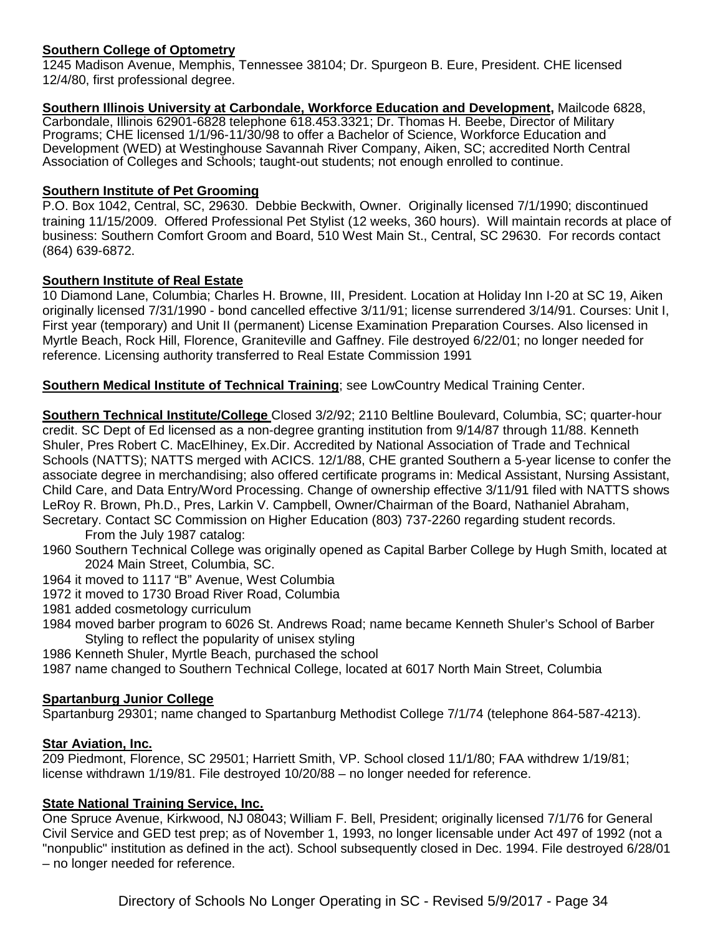## **Southern College of Optometry**

1245 Madison Avenue, Memphis, Tennessee 38104; Dr. Spurgeon B. Eure, President. CHE licensed 12/4/80, first professional degree.

**Southern Illinois University at Carbondale, Workforce Education and Development,** Mailcode 6828, Carbondale, Illinois 62901-6828 telephone 618.453.3321; Dr. Thomas H. Beebe, Director of Military Programs; CHE licensed 1/1/96-11/30/98 to offer a Bachelor of Science, Workforce Education and Development (WED) at Westinghouse Savannah River Company, Aiken, SC; accredited North Central Association of Colleges and Schools; taught-out students; not enough enrolled to continue.

## **Southern Institute of Pet Grooming**

P.O. Box 1042, Central, SC, 29630. Debbie Beckwith, Owner. Originally licensed 7/1/1990; discontinued training 11/15/2009. Offered Professional Pet Stylist (12 weeks, 360 hours). Will maintain records at place of business: Southern Comfort Groom and Board, 510 West Main St., Central, SC 29630. For records contact (864) 639-6872.

### **Southern Institute of Real Estate**

10 Diamond Lane, Columbia; Charles H. Browne, III, President. Location at Holiday Inn I-20 at SC 19, Aiken originally licensed 7/31/1990 - bond cancelled effective 3/11/91; license surrendered 3/14/91. Courses: Unit I, First year (temporary) and Unit II (permanent) License Examination Preparation Courses. Also licensed in Myrtle Beach, Rock Hill, Florence, Graniteville and Gaffney. File destroyed 6/22/01; no longer needed for reference. Licensing authority transferred to Real Estate Commission 1991

**Southern Medical Institute of Technical Training**; see LowCountry Medical Training Center.

**Southern Technical Institute/College** Closed 3/2/92; 2110 Beltline Boulevard, Columbia, SC; quarter-hour credit. SC Dept of Ed licensed as a non-degree granting institution from 9/14/87 through 11/88. Kenneth Shuler, Pres Robert C. MacElhiney, Ex.Dir. Accredited by National Association of Trade and Technical Schools (NATTS); NATTS merged with ACICS. 12/1/88, CHE granted Southern a 5-year license to confer the associate degree in merchandising; also offered certificate programs in: Medical Assistant, Nursing Assistant, Child Care, and Data Entry/Word Processing. Change of ownership effective 3/11/91 filed with NATTS shows LeRoy R. Brown, Ph.D., Pres, Larkin V. Campbell, Owner/Chairman of the Board, Nathaniel Abraham, Secretary. Contact SC Commission on Higher Education (803) 737-2260 regarding student records.

From the July 1987 catalog:

1960 Southern Technical College was originally opened as Capital Barber College by Hugh Smith, located at 2024 Main Street, Columbia, SC.

- 1964 it moved to 1117 "B" Avenue, West Columbia
- 1972 it moved to 1730 Broad River Road, Columbia
- 1981 added cosmetology curriculum
- 1984 moved barber program to 6026 St. Andrews Road; name became Kenneth Shuler's School of Barber Styling to reflect the popularity of unisex styling

1986 Kenneth Shuler, Myrtle Beach, purchased the school

1987 name changed to Southern Technical College, located at 6017 North Main Street, Columbia

## **Spartanburg Junior College**

Spartanburg 29301; name changed to Spartanburg Methodist College 7/1/74 (telephone 864-587-4213).

#### **Star Aviation, Inc.**

209 Piedmont, Florence, SC 29501; Harriett Smith, VP. School closed 11/1/80; FAA withdrew 1/19/81; license withdrawn 1/19/81. File destroyed 10/20/88 – no longer needed for reference.

## **State National Training Service, Inc.**

One Spruce Avenue, Kirkwood, NJ 08043; William F. Bell, President; originally licensed 7/1/76 for General Civil Service and GED test prep; as of November 1, 1993, no longer licensable under Act 497 of 1992 (not a "nonpublic" institution as defined in the act). School subsequently closed in Dec. 1994. File destroyed 6/28/01 – no longer needed for reference.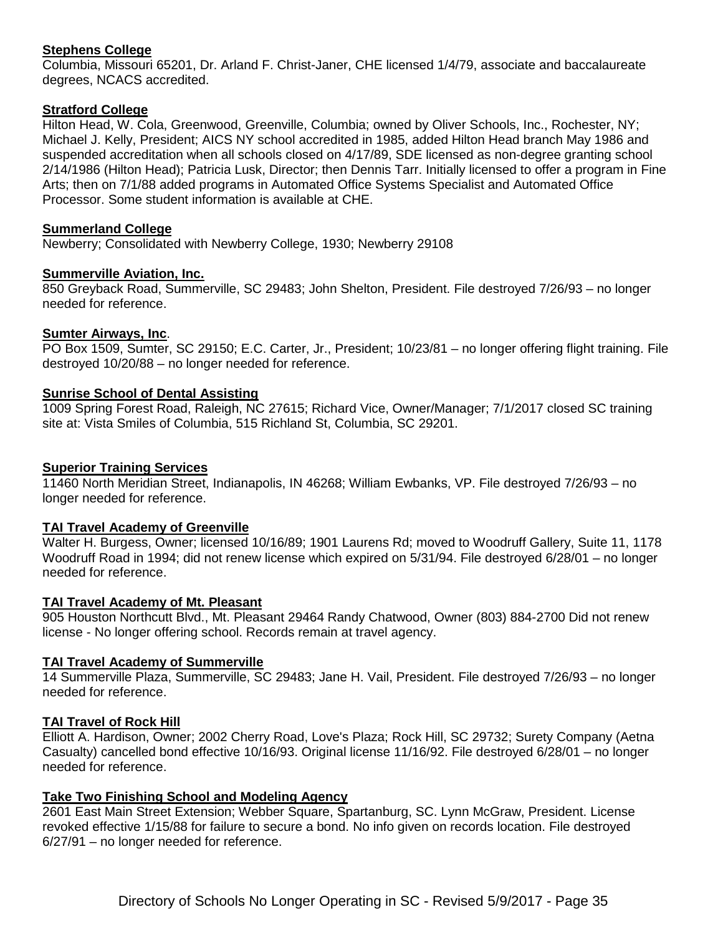## **Stephens College**

Columbia, Missouri 65201, Dr. Arland F. Christ-Janer, CHE licensed 1/4/79, associate and baccalaureate degrees, NCACS accredited.

## **Stratford College**

Hilton Head, W. Cola, Greenwood, Greenville, Columbia; owned by Oliver Schools, Inc., Rochester, NY; Michael J. Kelly, President; AICS NY school accredited in 1985, added Hilton Head branch May 1986 and suspended accreditation when all schools closed on 4/17/89, SDE licensed as non-degree granting school 2/14/1986 (Hilton Head); Patricia Lusk, Director; then Dennis Tarr. Initially licensed to offer a program in Fine Arts; then on 7/1/88 added programs in Automated Office Systems Specialist and Automated Office Processor. Some student information is available at CHE.

#### **Summerland College**

Newberry; Consolidated with Newberry College, 1930; Newberry 29108

### **Summerville Aviation, Inc.**

850 Greyback Road, Summerville, SC 29483; John Shelton, President. File destroyed 7/26/93 – no longer needed for reference.

### **Sumter Airways, Inc**.

PO Box 1509, Sumter, SC 29150; E.C. Carter, Jr., President; 10/23/81 – no longer offering flight training. File destroyed 10/20/88 – no longer needed for reference.

### **Sunrise School of Dental Assisting**

1009 Spring Forest Road, Raleigh, NC 27615; Richard Vice, Owner/Manager; 7/1/2017 closed SC training site at: Vista Smiles of Columbia, 515 Richland St, Columbia, SC 29201.

#### **Superior Training Services**

11460 North Meridian Street, Indianapolis, IN 46268; William Ewbanks, VP. File destroyed 7/26/93 – no longer needed for reference.

#### **TAI Travel Academy of Greenville**

Walter H. Burgess, Owner; licensed 10/16/89; 1901 Laurens Rd; moved to Woodruff Gallery, Suite 11, 1178 Woodruff Road in 1994; did not renew license which expired on 5/31/94. File destroyed 6/28/01 – no longer needed for reference.

#### **TAI Travel Academy of Mt. Pleasant**

905 Houston Northcutt Blvd., Mt. Pleasant 29464 Randy Chatwood, Owner (803) 884-2700 Did not renew license - No longer offering school. Records remain at travel agency.

#### **TAI Travel Academy of Summerville**

14 Summerville Plaza, Summerville, SC 29483; Jane H. Vail, President. File destroyed 7/26/93 – no longer needed for reference.

#### **TAI Travel of Rock Hill**

Elliott A. Hardison, Owner; 2002 Cherry Road, Love's Plaza; Rock Hill, SC 29732; Surety Company (Aetna Casualty) cancelled bond effective 10/16/93. Original license 11/16/92. File destroyed 6/28/01 – no longer needed for reference.

#### **Take Two Finishing School and Modeling Agency**

2601 East Main Street Extension; Webber Square, Spartanburg, SC. Lynn McGraw, President. License revoked effective 1/15/88 for failure to secure a bond. No info given on records location. File destroyed 6/27/91 – no longer needed for reference.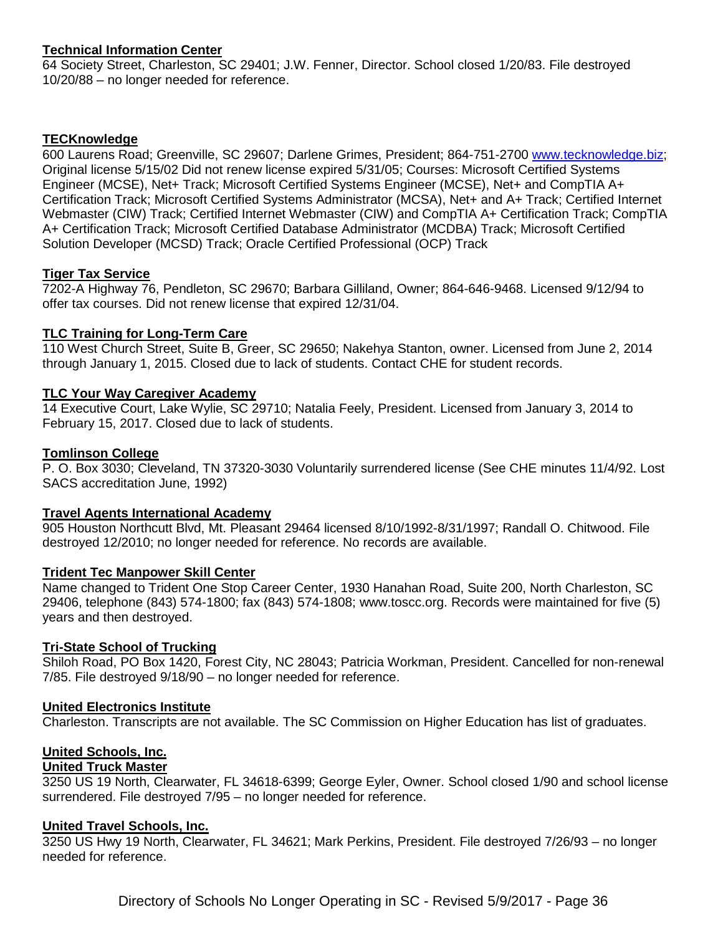## **Technical Information Center**

64 Society Street, Charleston, SC 29401; J.W. Fenner, Director. School closed 1/20/83. File destroyed 10/20/88 – no longer needed for reference.

## **TECKnowledge**

600 Laurens Road; Greenville, SC 29607; Darlene Grimes, President; 864-751-2700 [www.tecknowledge.biz;](http://www.tecknowledge.biz/) Original license 5/15/02 Did not renew license expired 5/31/05; Courses: Microsoft Certified Systems Engineer (MCSE), Net+ Track; Microsoft Certified Systems Engineer (MCSE), Net+ and CompTIA A+ Certification Track; Microsoft Certified Systems Administrator (MCSA), Net+ and A+ Track; Certified Internet Webmaster (CIW) Track; Certified Internet Webmaster (CIW) and CompTIA A+ Certification Track; CompTIA A+ Certification Track; Microsoft Certified Database Administrator (MCDBA) Track; Microsoft Certified Solution Developer (MCSD) Track; Oracle Certified Professional (OCP) Track

### **Tiger Tax Service**

7202-A Highway 76, Pendleton, SC 29670; Barbara Gilliland, Owner; 864-646-9468. Licensed 9/12/94 to offer tax courses. Did not renew license that expired 12/31/04.

### **TLC Training for Long-Term Care**

110 West Church Street, Suite B, Greer, SC 29650; Nakehya Stanton, owner. Licensed from June 2, 2014 through January 1, 2015. Closed due to lack of students. Contact CHE for student records.

### **TLC Your Way Caregiver Academy**

14 Executive Court, Lake Wylie, SC 29710; Natalia Feely, President. Licensed from January 3, 2014 to February 15, 2017. Closed due to lack of students.

### **Tomlinson College**

P. O. Box 3030; Cleveland, TN 37320-3030 Voluntarily surrendered license (See CHE minutes 11/4/92. Lost SACS accreditation June, 1992)

#### **Travel Agents International Academy**

905 Houston Northcutt Blvd, Mt. Pleasant 29464 licensed 8/10/1992-8/31/1997; Randall O. Chitwood. File destroyed 12/2010; no longer needed for reference. No records are available.

#### **Trident Tec Manpower Skill Center**

Name changed to Trident One Stop Career Center, 1930 Hanahan Road, Suite 200, North Charleston, SC 29406, telephone (843) 574-1800; fax (843) 574-1808; www.toscc.org. Records were maintained for five (5) years and then destroyed.

#### **Tri-State School of Trucking**

Shiloh Road, PO Box 1420, Forest City, NC 28043; Patricia Workman, President. Cancelled for non-renewal 7/85. File destroyed 9/18/90 – no longer needed for reference.

#### **United Electronics Institute**

Charleston. Transcripts are not available. The SC Commission on Higher Education has list of graduates.

## **United Schools, Inc.**

#### **United Truck Master**

3250 US 19 North, Clearwater, FL 34618-6399; George Eyler, Owner. School closed 1/90 and school license surrendered. File destroyed 7/95 – no longer needed for reference.

#### **United Travel Schools, Inc.**

3250 US Hwy 19 North, Clearwater, FL 34621; Mark Perkins, President. File destroyed 7/26/93 – no longer needed for reference.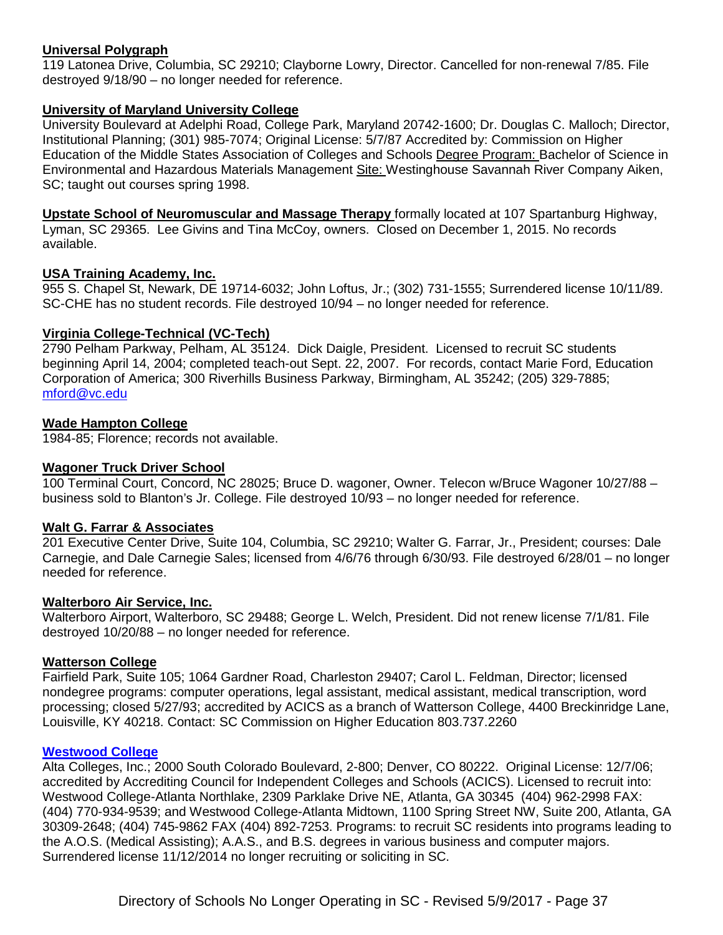## **Universal Polygraph**

119 Latonea Drive, Columbia, SC 29210; Clayborne Lowry, Director. Cancelled for non-renewal 7/85. File destroyed 9/18/90 – no longer needed for reference.

## **University of Maryland University College**

University Boulevard at Adelphi Road, College Park, Maryland 20742-1600; Dr. Douglas C. Malloch; Director, Institutional Planning; (301) 985-7074; Original License: 5/7/87 Accredited by: Commission on Higher Education of the Middle States Association of Colleges and Schools Degree Program: Bachelor of Science in Environmental and Hazardous Materials Management Site: Westinghouse Savannah River Company Aiken, SC; taught out courses spring 1998.

**Upstate School of Neuromuscular and Massage Therapy** formally located at 107 Spartanburg Highway, Lyman, SC 29365. Lee Givins and Tina McCoy, owners. Closed on December 1, 2015. No records available.

### **USA Training Academy, Inc.**

955 S. Chapel St, Newark, DE 19714-6032; John Loftus, Jr.; (302) 731-1555; Surrendered license 10/11/89. SC-CHE has no student records. File destroyed 10/94 – no longer needed for reference.

### **Virginia College-Technical (VC-Tech)**

2790 Pelham Parkway, Pelham, AL 35124. Dick Daigle, President. Licensed to recruit SC students beginning April 14, 2004; completed teach-out Sept. 22, 2007. For records, contact Marie Ford, Education Corporation of America; 300 Riverhills Business Parkway, Birmingham, AL 35242; (205) 329-7885; [mford@vc.edu](mailto:mford@vc.edu)

### **Wade Hampton College**

1984-85; Florence; records not available.

#### **Wagoner Truck Driver School**

100 Terminal Court, Concord, NC 28025; Bruce D. wagoner, Owner. Telecon w/Bruce Wagoner 10/27/88 – business sold to Blanton's Jr. College. File destroyed 10/93 – no longer needed for reference.

#### **Walt G. Farrar & Associates**

201 Executive Center Drive, Suite 104, Columbia, SC 29210; Walter G. Farrar, Jr., President; courses: Dale Carnegie, and Dale Carnegie Sales; licensed from 4/6/76 through 6/30/93. File destroyed 6/28/01 – no longer needed for reference.

#### **Walterboro Air Service, Inc.**

Walterboro Airport, Walterboro, SC 29488; George L. Welch, President. Did not renew license 7/1/81. File destroyed 10/20/88 – no longer needed for reference.

#### **Watterson College**

Fairfield Park, Suite 105; 1064 Gardner Road, Charleston 29407; Carol L. Feldman, Director; licensed nondegree programs: computer operations, legal assistant, medical assistant, medical transcription, word processing; closed 5/27/93; accredited by ACICS as a branch of Watterson College, 4400 Breckinridge Lane, Louisville, KY 40218. Contact: SC Commission on Higher Education 803.737.2260

#### **[Westwood College](http://www.westwood.edu/)**

Alta Colleges, Inc.; 2000 South Colorado Boulevard, 2-800; Denver, CO 80222. Original License: 12/7/06; accredited by Accrediting Council for Independent Colleges and Schools (ACICS). Licensed to recruit into: Westwood College-Atlanta Northlake, 2309 Parklake Drive NE, Atlanta, GA 30345 (404) 962-2998 FAX: (404) 770-934-9539; and Westwood College-Atlanta Midtown, 1100 Spring Street NW, Suite 200, Atlanta, GA 30309-2648; (404) 745-9862 FAX (404) 892-7253. Programs: to recruit SC residents into programs leading to the A.O.S. (Medical Assisting); A.A.S., and B.S. degrees in various business and computer majors. Surrendered license 11/12/2014 no longer recruiting or soliciting in SC.